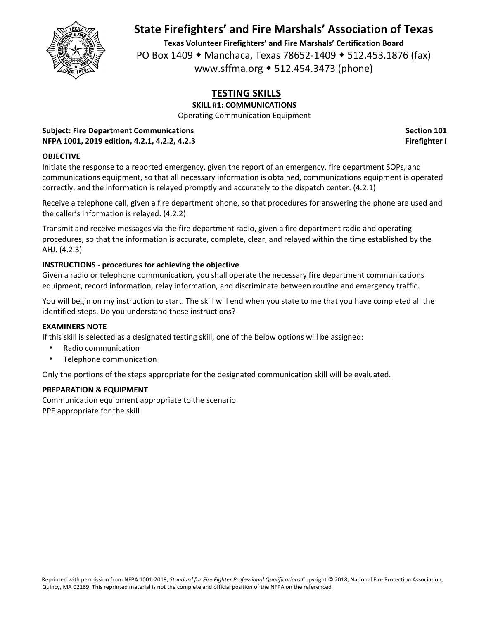

**Texas Volunteer Firefighters' and Fire Marshals' Certification Board** PO Box 1409 • Manchaca, Texas 78652-1409 • 512.453.1876 (fax) www.sffma.org 512.454.3473 (phone)

# **TESTING SKILLS**

**SKILL #1: COMMUNICATIONS**

Operating Communication Equipment

## **Subject: Fire Department Communications Section 101 NFPA 1001, 2019 edition, 4.2.1, 4.2.2, 4.2.3 Firefighter I**

## **OBJECTIVE**

Initiate the response to a reported emergency, given the report of an emergency, fire department SOPs, and communications equipment, so that all necessary information is obtained, communications equipment is operated correctly, and the information is relayed promptly and accurately to the dispatch center. (4.2.1)

Receive a telephone call, given a fire department phone, so that procedures for answering the phone are used and the caller's information is relayed. (4.2.2)

Transmit and receive messages via the fire department radio, given a fire department radio and operating procedures, so that the information is accurate, complete, clear, and relayed within the time established by the AHJ. (4.2.3)

## **INSTRUCTIONS ‐ procedures for achieving the objective**

Given a radio or telephone communication, you shall operate the necessary fire department communications equipment, record information, relay information, and discriminate between routine and emergency traffic.

You will begin on my instruction to start. The skill will end when you state to me that you have completed all the identified steps. Do you understand these instructions?

#### **EXAMINERS NOTE**

If this skill is selected as a designated testing skill, one of the below options will be assigned:

- Radio communication
- Telephone communication

Only the portions of the steps appropriate for the designated communication skill will be evaluated.

### **PREPARATION & EQUIPMENT**

Communication equipment appropriate to the scenario PPE appropriate for the skill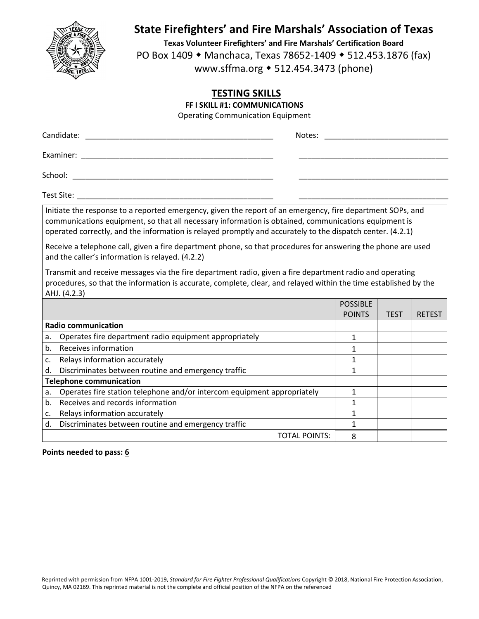

**Texas Volunteer Firefighters' and Fire Marshals' Certification Board** PO Box 1409 • Manchaca, Texas 78652-1409 • 512.453.1876 (fax) www.sffma.org 512.454.3473 (phone)

## **TESTING SKILLS**

**FF I SKILL #1: COMMUNICATIONS**

Operating Communication Equipment

| Candidate: | Notes: |
|------------|--------|
| Examiner:  |        |
| School:    |        |
| Test Site: |        |

Initiate the response to a reported emergency, given the report of an emergency, fire department SOPs, and communications equipment, so that all necessary information is obtained, communications equipment is operated correctly, and the information is relayed promptly and accurately to the dispatch center. (4.2.1)

Receive a telephone call, given a fire department phone, so that procedures for answering the phone are used and the caller's information is relayed. (4.2.2)

Transmit and receive messages via the fire department radio, given a fire department radio and operating procedures, so that the information is accurate, complete, clear, and relayed within the time established by the AHJ. (4.2.3)

|    |                                                                         | <b>POSSIBLE</b> |             |               |
|----|-------------------------------------------------------------------------|-----------------|-------------|---------------|
|    |                                                                         | <b>POINTS</b>   | <b>TEST</b> | <b>RETEST</b> |
|    | Radio communication                                                     |                 |             |               |
| a. | Operates fire department radio equipment appropriately                  |                 |             |               |
| b. | Receives information                                                    |                 |             |               |
| c. | Relays information accurately                                           |                 |             |               |
| d. | Discriminates between routine and emergency traffic                     |                 |             |               |
|    | <b>Telephone communication</b>                                          |                 |             |               |
| а. | Operates fire station telephone and/or intercom equipment appropriately |                 |             |               |
| b. | Receives and records information                                        |                 |             |               |
| c. | Relays information accurately                                           |                 |             |               |
| d. | Discriminates between routine and emergency traffic                     |                 |             |               |
|    | TOTAL POINTS:                                                           | 8               |             |               |

#### **Points needed to pass: 6**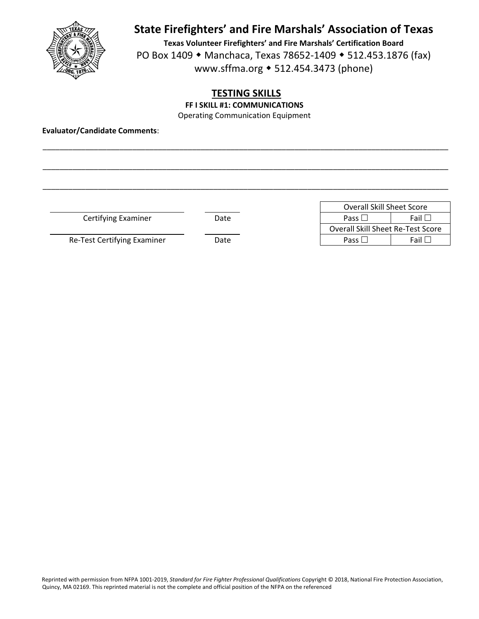

**Texas Volunteer Firefighters' and Fire Marshals' Certification Board** PO Box 1409 • Manchaca, Texas 78652-1409 • 512.453.1876 (fax) www.sffma.org 512.454.3473 (phone)

## **TESTING SKILLS**

**FF I SKILL #1: COMMUNICATIONS**

Operating Communication Equipment

\_\_\_\_\_\_\_\_\_\_\_\_\_\_\_\_\_\_\_\_\_\_\_\_\_\_\_\_\_\_\_\_\_\_\_\_\_\_\_\_\_\_\_\_\_\_\_\_\_\_\_\_\_\_\_\_\_\_\_\_\_\_\_\_\_\_\_\_\_\_\_\_\_\_\_\_\_\_\_\_\_\_\_\_\_\_\_\_\_\_\_\_\_\_\_

\_\_\_\_\_\_\_\_\_\_\_\_\_\_\_\_\_\_\_\_\_\_\_\_\_\_\_\_\_\_\_\_\_\_\_\_\_\_\_\_\_\_\_\_\_\_\_\_\_\_\_\_\_\_\_\_\_\_\_\_\_\_\_\_\_\_\_\_\_\_\_\_\_\_\_\_\_\_\_\_\_\_\_\_\_\_\_\_\_\_\_\_\_\_\_

\_\_\_\_\_\_\_\_\_\_\_\_\_\_\_\_\_\_\_\_\_\_\_\_\_\_\_\_\_\_\_\_\_\_\_\_\_\_\_\_\_\_\_\_\_\_\_\_\_\_\_\_\_\_\_\_\_\_\_\_\_\_\_\_\_\_\_\_\_\_\_\_\_\_\_\_\_\_\_\_\_\_\_\_\_\_\_\_\_\_\_\_\_\_\_

**Evaluator/Candidate Comments**:

**Certifying Examiner Date** 

Re‐Test Certifying Examiner Date Pass Fail

|               |      | <b>Overall Skill Sheet Score</b>      |
|---------------|------|---------------------------------------|
| Examiner      | Date | Pass $\mathsf{\mathsf{L}}$<br>-Fail L |
|               |      | Overall Skill Sheet Re-Test Score     |
| ying Examiner | Date | Fail L<br>Pass L                      |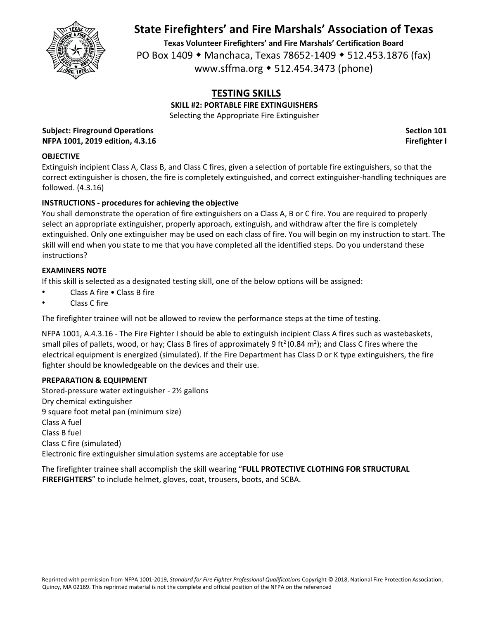

**Texas Volunteer Firefighters' and Fire Marshals' Certification Board** PO Box 1409 • Manchaca, Texas 78652-1409 • 512.453.1876 (fax) www.sffma.org 512.454.3473 (phone)

## **TESTING SKILLS**

**SKILL #2: PORTABLE FIRE EXTINGUISHERS**

Selecting the Appropriate Fire Extinguisher

### **Subject: Fireground Operations Section 101 NFPA 1001, 2019 edition, 4.3.16 Firefighter I**

## **OBJECTIVE**

Extinguish incipient Class A, Class B, and Class C fires, given a selection of portable fire extinguishers, so that the correct extinguisher is chosen, the fire is completely extinguished, and correct extinguisher‐handling techniques are followed. (4.3.16)

## **INSTRUCTIONS ‐ procedures for achieving the objective**

You shall demonstrate the operation of fire extinguishers on a Class A, B or C fire. You are required to properly select an appropriate extinguisher, properly approach, extinguish, and withdraw after the fire is completely extinguished. Only one extinguisher may be used on each class of fire. You will begin on my instruction to start. The skill will end when you state to me that you have completed all the identified steps. Do you understand these instructions?

## **EXAMINERS NOTE**

If this skill is selected as a designated testing skill, one of the below options will be assigned:

- Class A fire Class B fire
- Class C fire

The firefighter trainee will not be allowed to review the performance steps at the time of testing.

NFPA 1001, A.4.3.16 ‐ The Fire Fighter I should be able to extinguish incipient Class A fires such as wastebaskets, small piles of pallets, wood, or hay; Class B fires of approximately 9 ft<sup>2</sup> (0.84 m<sup>2</sup>); and Class C fires where the electrical equipment is energized (simulated). If the Fire Department has Class D or K type extinguishers, the fire fighter should be knowledgeable on the devices and their use.

## **PREPARATION & EQUIPMENT**

Stored‐pressure water extinguisher ‐ 2½ gallons Dry chemical extinguisher 9 square foot metal pan (minimum size) Class A fuel Class B fuel Class C fire (simulated) Electronic fire extinguisher simulation systems are acceptable for use

The firefighter trainee shall accomplish the skill wearing "**FULL PROTECTIVE CLOTHING FOR STRUCTURAL FIREFIGHTERS**" to include helmet, gloves, coat, trousers, boots, and SCBA.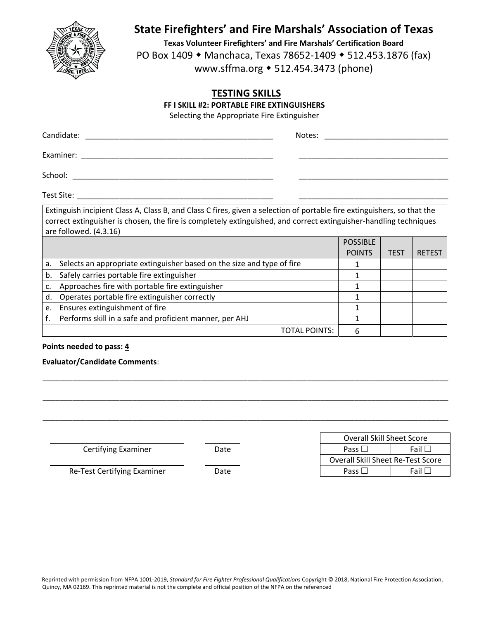

**Texas Volunteer Firefighters' and Fire Marshals' Certification Board** PO Box 1409 • Manchaca, Texas 78652-1409 • 512.453.1876 (fax) www.sffma.org 512.454.3473 (phone)

## **TESTING SKILLS**

**FF I SKILL #2: PORTABLE FIRE EXTINGUISHERS**

Selecting the Appropriate Fire Extinguisher

| Candidate: | Notes: |
|------------|--------|
| Examiner:  |        |
| School:    |        |
| Test Site: |        |

Extinguish incipient Class A, Class B, and Class C fires, given a selection of portable fire extinguishers, so that the correct extinguisher is chosen, the fire is completely extinguished, and correct extinguisher‐handling techniques are followed. (4.3.16)

|    |                                                                        | <b>POSSIBLE</b><br><b>POINTS</b> | <b>TEST</b> | <b>RETEST</b> |
|----|------------------------------------------------------------------------|----------------------------------|-------------|---------------|
| a. | Selects an appropriate extinguisher based on the size and type of fire |                                  |             |               |
| b. | Safely carries portable fire extinguisher                              |                                  |             |               |
|    | Approaches fire with portable fire extinguisher                        |                                  |             |               |
| d. | Operates portable fire extinguisher correctly                          |                                  |             |               |
| e. | Ensures extinguishment of fire                                         |                                  |             |               |
|    | Performs skill in a safe and proficient manner, per AHJ                |                                  |             |               |
|    | TOTAL POINTS:                                                          |                                  |             |               |

**Points needed to pass: 4**

**Evaluator/Candidate Comments**:

|                             |      | <b>Overall Skill Sheet Score</b>         |             |
|-----------------------------|------|------------------------------------------|-------------|
| <b>Certifying Examiner</b>  | Date | Pass $\Box$                              | Fail $\Box$ |
|                             |      | <b>Overall Skill Sheet Re-Test Score</b> |             |
| Re-Test Certifying Examiner | Date | Pass $\square$                           | Fail $\Box$ |
|                             |      |                                          |             |

\_\_\_\_\_\_\_\_\_\_\_\_\_\_\_\_\_\_\_\_\_\_\_\_\_\_\_\_\_\_\_\_\_\_\_\_\_\_\_\_\_\_\_\_\_\_\_\_\_\_\_\_\_\_\_\_\_\_\_\_\_\_\_\_\_\_\_\_\_\_\_\_\_\_\_\_\_\_\_\_\_\_\_\_\_\_\_\_\_\_\_\_\_\_\_

\_\_\_\_\_\_\_\_\_\_\_\_\_\_\_\_\_\_\_\_\_\_\_\_\_\_\_\_\_\_\_\_\_\_\_\_\_\_\_\_\_\_\_\_\_\_\_\_\_\_\_\_\_\_\_\_\_\_\_\_\_\_\_\_\_\_\_\_\_\_\_\_\_\_\_\_\_\_\_\_\_\_\_\_\_\_\_\_\_\_\_\_\_\_\_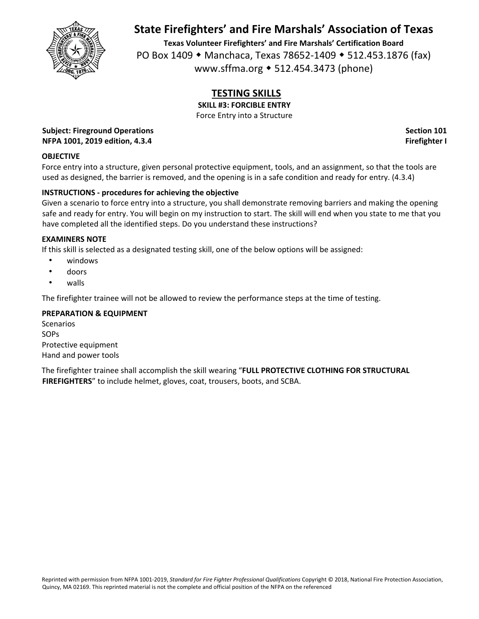

**Texas Volunteer Firefighters' and Fire Marshals' Certification Board** PO Box 1409 • Manchaca, Texas 78652-1409 • 512.453.1876 (fax) www.sffma.org 512.454.3473 (phone)

# **TESTING SKILLS**

**SKILL #3: FORCIBLE ENTRY**

Force Entry into a Structure

**Subject: Fireground Operations Section 101 NFPA 1001, 2019 edition, 4.3.4 Firefighter I**

### **OBJECTIVE**

Force entry into a structure, given personal protective equipment, tools, and an assignment, so that the tools are used as designed, the barrier is removed, and the opening is in a safe condition and ready for entry. (4.3.4)

### **INSTRUCTIONS ‐ procedures for achieving the objective**

Given a scenario to force entry into a structure, you shall demonstrate removing barriers and making the opening safe and ready for entry. You will begin on my instruction to start. The skill will end when you state to me that you have completed all the identified steps. Do you understand these instructions?

#### **EXAMINERS NOTE**

If this skill is selected as a designated testing skill, one of the below options will be assigned:

- windows
- doors
- walls

The firefighter trainee will not be allowed to review the performance steps at the time of testing.

#### **PREPARATION & EQUIPMENT**

**Scenarios SOPs** Protective equipment Hand and power tools

The firefighter trainee shall accomplish the skill wearing "**FULL PROTECTIVE CLOTHING FOR STRUCTURAL FIREFIGHTERS**" to include helmet, gloves, coat, trousers, boots, and SCBA.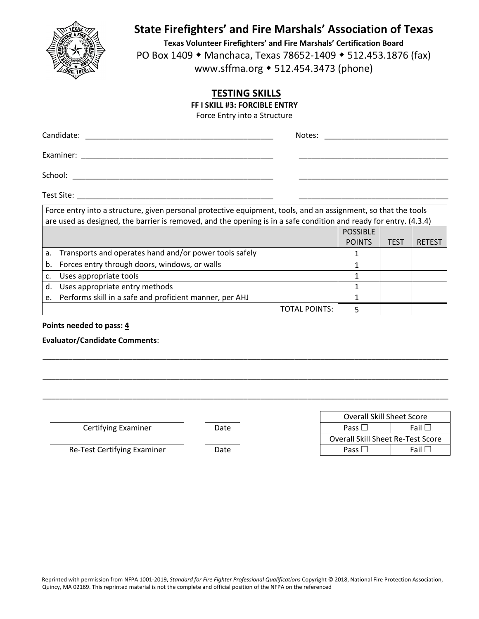

**Texas Volunteer Firefighters' and Fire Marshals' Certification Board** PO Box 1409 ◆ Manchaca, Texas 78652-1409 ◆ 512.453.1876 (fax) www.sffma.org 512.454.3473 (phone)

## **TESTING SKILLS**

**FF I SKILL #3: FORCIBLE ENTRY**

Force Entry into a Structure

| Candidate: The Candidate:                                                                                                                                                                                                           | Notes: and the set of the set of the set of the set of the set of the set of the set of the set of the set of the set of the set of the set of the set of the set of the set of the set of the set of the set of the set of th |             |               |
|-------------------------------------------------------------------------------------------------------------------------------------------------------------------------------------------------------------------------------------|--------------------------------------------------------------------------------------------------------------------------------------------------------------------------------------------------------------------------------|-------------|---------------|
|                                                                                                                                                                                                                                     |                                                                                                                                                                                                                                |             |               |
|                                                                                                                                                                                                                                     |                                                                                                                                                                                                                                |             |               |
|                                                                                                                                                                                                                                     |                                                                                                                                                                                                                                |             |               |
| Force entry into a structure, given personal protective equipment, tools, and an assignment, so that the tools<br>are used as designed, the barrier is removed, and the opening is in a safe condition and ready for entry. (4.3.4) |                                                                                                                                                                                                                                |             |               |
|                                                                                                                                                                                                                                     | <b>POSSIBLE</b>                                                                                                                                                                                                                |             |               |
|                                                                                                                                                                                                                                     | <b>POINTS</b>                                                                                                                                                                                                                  | <b>TEST</b> | <b>RETEST</b> |
| a.<br>Transports and operates hand and/or power tools safely                                                                                                                                                                        |                                                                                                                                                                                                                                |             |               |
| والمتنبعون وبينماء وبالتنب ومعامله والمتنوع والمسامرة ومقومات والما                                                                                                                                                                 | $\overline{ }$                                                                                                                                                                                                                 |             |               |

b. Forces entry through doors, windows, or walls  $\begin{array}{ccc} \hline \end{array}$   $\begin{array}{ccc} 1 & \end{array}$ c. Uses appropriate tools  $\begin{array}{ccc} 1 & 1 \end{array}$ d. Uses appropriate entry methods and the set of the set of the set of the set of the set of the set of the set of the set of the set of the set of the set of the set of the set of the set of the set of the set of the set e. Performs skill in a safe and proficient manner, per AHJ **1** 1 TOTAL POINTS: | 5

\_\_\_\_\_\_\_\_\_\_\_\_\_\_\_\_\_\_\_\_\_\_\_\_\_\_\_\_\_\_\_\_\_\_\_\_\_\_\_\_\_\_\_\_\_\_\_\_\_\_\_\_\_\_\_\_\_\_\_\_\_\_\_\_\_\_\_\_\_\_\_\_\_\_\_\_\_\_\_\_\_\_\_\_\_\_\_\_\_\_\_\_\_\_\_

\_\_\_\_\_\_\_\_\_\_\_\_\_\_\_\_\_\_\_\_\_\_\_\_\_\_\_\_\_\_\_\_\_\_\_\_\_\_\_\_\_\_\_\_\_\_\_\_\_\_\_\_\_\_\_\_\_\_\_\_\_\_\_\_\_\_\_\_\_\_\_\_\_\_\_\_\_\_\_\_\_\_\_\_\_\_\_\_\_\_\_\_\_\_\_

\_\_\_\_\_\_\_\_\_\_\_\_\_\_\_\_\_\_\_\_\_\_\_\_\_\_\_\_\_\_\_\_\_\_\_\_\_\_\_\_\_\_\_\_\_\_\_\_\_\_\_\_\_\_\_\_\_\_\_\_\_\_\_\_\_\_\_\_\_\_\_\_\_\_\_\_\_\_\_\_\_\_\_\_\_\_\_\_\_\_\_\_\_\_\_

#### **Points needed to pass: 4**

#### **Evaluator/Candidate Comments**:

**Certifying Examiner Date** 

|               |      | <b>Overall Skill Sheet Score</b>  |
|---------------|------|-----------------------------------|
| Examiner      | Date | Fail Ll<br>Pass $\Box$            |
|               |      | Overall Skill Sheet Re-Test Score |
| ying Examiner | Date | - Fail L<br>Pass $\square$        |

Re-Test Certifying Examiner **Date**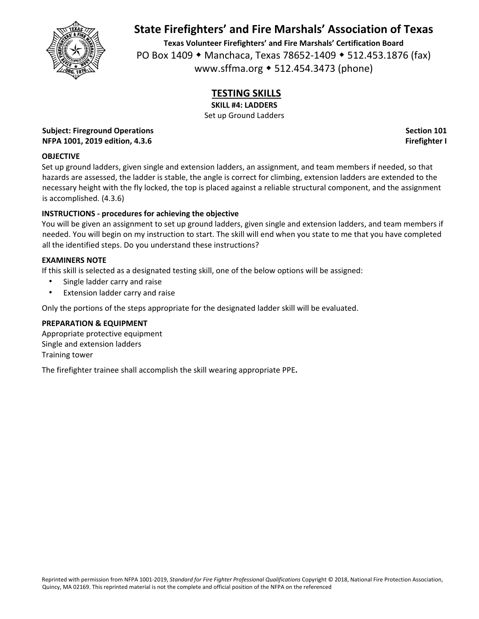

**Texas Volunteer Firefighters' and Fire Marshals' Certification Board** PO Box 1409 • Manchaca, Texas 78652-1409 • 512.453.1876 (fax) www.sffma.org 512.454.3473 (phone)

# **TESTING SKILLS**

**SKILL #4: LADDERS**

Set up Ground Ladders

**Subject: Fireground Operations Section 101 NFPA 1001, 2019 edition, 4.3.6 Firefighter I**

### **OBJECTIVE**

Set up ground ladders, given single and extension ladders, an assignment, and team members if needed, so that hazards are assessed, the ladder is stable, the angle is correct for climbing, extension ladders are extended to the necessary height with the fly locked, the top is placed against a reliable structural component, and the assignment is accomplished. (4.3.6)

## **INSTRUCTIONS ‐ procedures for achieving the objective**

You will be given an assignment to set up ground ladders, given single and extension ladders, and team members if needed. You will begin on my instruction to start. The skill will end when you state to me that you have completed all the identified steps. Do you understand these instructions?

#### **EXAMINERS NOTE**

If this skill is selected as a designated testing skill, one of the below options will be assigned:

- Single ladder carry and raise
- Extension ladder carry and raise

Only the portions of the steps appropriate for the designated ladder skill will be evaluated.

#### **PREPARATION & EQUIPMENT**

Appropriate protective equipment Single and extension ladders Training tower

The firefighter trainee shall accomplish the skill wearing appropriate PPE**.**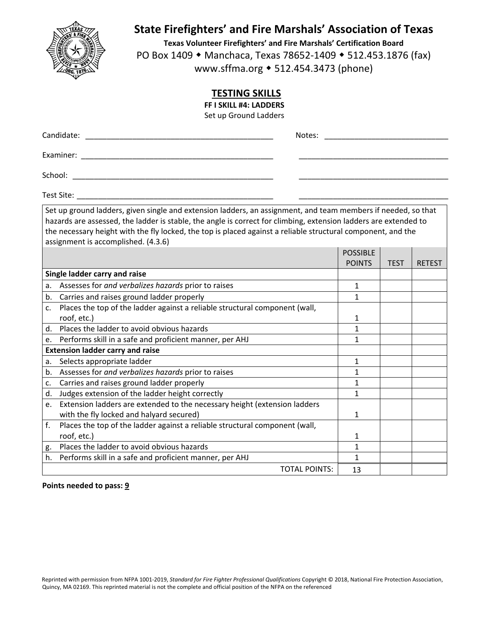

**Texas Volunteer Firefighters' and Fire Marshals' Certification Board** PO Box 1409 • Manchaca, Texas 78652-1409 • 512.453.1876 (fax) www.sffma.org 512.454.3473 (phone)

## **TESTING SKILLS**

**FF I SKILL #4: LADDERS**

Set up Ground Ladders

| School: Analysis and the second second second second second second second second second second second second second second second second second second second second second second second second second second second second s                                                                                                                                                           |  |
|------------------------------------------------------------------------------------------------------------------------------------------------------------------------------------------------------------------------------------------------------------------------------------------------------------------------------------------------------------------------------------------|--|
|                                                                                                                                                                                                                                                                                                                                                                                          |  |
| Set up ground ladders, given single and extension ladders, an assignment, and team members if needed, so that<br>hazards are assessed, the ladder is stable, the angle is correct for climbing, extension ladders are extended to<br>the necessary height with the fly locked, the top is placed against a reliable structural component, and the<br>assignment is accomplished. (4.3.6) |  |

|    |                                                                             | <b>POSSIBLE</b> |             |               |
|----|-----------------------------------------------------------------------------|-----------------|-------------|---------------|
|    |                                                                             | <b>POINTS</b>   | <b>TEST</b> | <b>RETEST</b> |
|    | Single ladder carry and raise                                               |                 |             |               |
| a. | Assesses for and verbalizes hazards prior to raises                         | 1               |             |               |
| b. | Carries and raises ground ladder properly                                   | 1               |             |               |
| c. | Places the top of the ladder against a reliable structural component (wall, |                 |             |               |
|    | roof, etc.)                                                                 | 1               |             |               |
| d. | Places the ladder to avoid obvious hazards                                  | 1               |             |               |
| e. | Performs skill in a safe and proficient manner, per AHJ                     | 1               |             |               |
|    | <b>Extension ladder carry and raise</b>                                     |                 |             |               |
| a. | Selects appropriate ladder                                                  | 1               |             |               |
| b. | Assesses for and verbalizes hazards prior to raises                         | 1               |             |               |
| c. | Carries and raises ground ladder properly                                   | 1               |             |               |
| d. | Judges extension of the ladder height correctly                             | 1               |             |               |
| e. | Extension ladders are extended to the necessary height (extension ladders   |                 |             |               |
|    | with the fly locked and halyard secured)                                    | 1               |             |               |
| f. | Places the top of the ladder against a reliable structural component (wall, |                 |             |               |
|    | roof, etc.)                                                                 | 1               |             |               |
| g. | Places the ladder to avoid obvious hazards                                  | 1               |             |               |
| h. | Performs skill in a safe and proficient manner, per AHJ                     | 1               |             |               |
|    | TOTAL POINTS:                                                               | 13              |             |               |

#### **Points needed to pass: 9**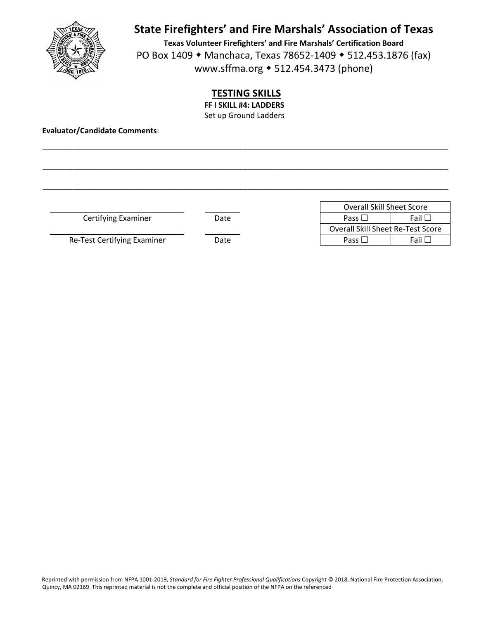

**Texas Volunteer Firefighters' and Fire Marshals' Certification Board** PO Box 1409 • Manchaca, Texas 78652-1409 • 512.453.1876 (fax) www.sffma.org 512.454.3473 (phone)

## **TESTING SKILLS**

**FF I SKILL #4: LADDERS**

Set up Ground Ladders

\_\_\_\_\_\_\_\_\_\_\_\_\_\_\_\_\_\_\_\_\_\_\_\_\_\_\_\_\_\_\_\_\_\_\_\_\_\_\_\_\_\_\_\_\_\_\_\_\_\_\_\_\_\_\_\_\_\_\_\_\_\_\_\_\_\_\_\_\_\_\_\_\_\_\_\_\_\_\_\_\_\_\_\_\_\_\_\_\_\_\_\_\_\_\_

\_\_\_\_\_\_\_\_\_\_\_\_\_\_\_\_\_\_\_\_\_\_\_\_\_\_\_\_\_\_\_\_\_\_\_\_\_\_\_\_\_\_\_\_\_\_\_\_\_\_\_\_\_\_\_\_\_\_\_\_\_\_\_\_\_\_\_\_\_\_\_\_\_\_\_\_\_\_\_\_\_\_\_\_\_\_\_\_\_\_\_\_\_\_\_

\_\_\_\_\_\_\_\_\_\_\_\_\_\_\_\_\_\_\_\_\_\_\_\_\_\_\_\_\_\_\_\_\_\_\_\_\_\_\_\_\_\_\_\_\_\_\_\_\_\_\_\_\_\_\_\_\_\_\_\_\_\_\_\_\_\_\_\_\_\_\_\_\_\_\_\_\_\_\_\_\_\_\_\_\_\_\_\_\_\_\_\_\_\_\_

**Evaluator/Candidate Comments**:

**Certifying Examiner Date** 

Re‐Test Certifying Examiner Date Pass Fail

|               |      | <b>Overall Skill Sheet Score</b>     |
|---------------|------|--------------------------------------|
| Examiner      | Date | Fail $\Box$<br>Pass L                |
|               |      | Overall Skill Sheet Re-Test Score    |
| ying Examiner | Date | Fail L<br>Pass $\mathsf{\mathsf{L}}$ |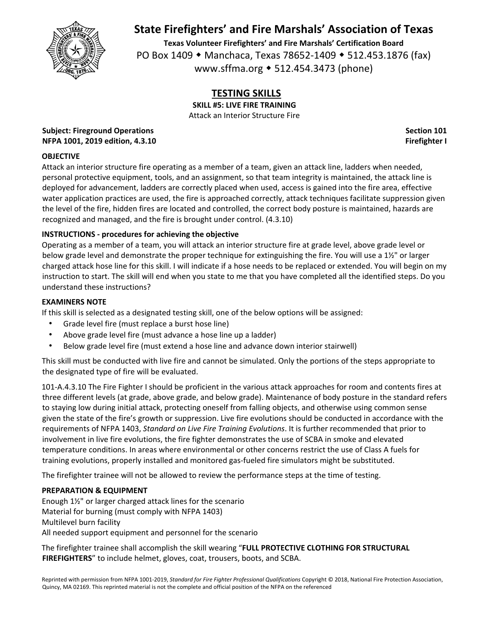

**Texas Volunteer Firefighters' and Fire Marshals' Certification Board** PO Box 1409 • Manchaca, Texas 78652-1409 • 512.453.1876 (fax) www.sffma.org 512.454.3473 (phone)

## **TESTING SKILLS**

**SKILL #5: LIVE FIRE TRAINING**

Attack an Interior Structure Fire

**Subject: Fireground Operations Section 101 NFPA 1001, 2019 edition, 4.3.10 Firefighter I**

### **OBJECTIVE**

Attack an interior structure fire operating as a member of a team, given an attack line, ladders when needed, personal protective equipment, tools, and an assignment, so that team integrity is maintained, the attack line is deployed for advancement, ladders are correctly placed when used, access is gained into the fire area, effective water application practices are used, the fire is approached correctly, attack techniques facilitate suppression given the level of the fire, hidden fires are located and controlled, the correct body posture is maintained, hazards are recognized and managed, and the fire is brought under control. (4.3.10)

## **INSTRUCTIONS ‐ procedures for achieving the objective**

Operating as a member of a team, you will attack an interior structure fire at grade level, above grade level or below grade level and demonstrate the proper technique for extinguishing the fire. You will use a 1½" or larger charged attack hose line for this skill. I will indicate if a hose needs to be replaced or extended. You will begin on my instruction to start. The skill will end when you state to me that you have completed all the identified steps. Do you understand these instructions?

#### **EXAMINERS NOTE**

If this skill is selected as a designated testing skill, one of the below options will be assigned:

- Grade level fire (must replace a burst hose line)
- Above grade level fire (must advance a hose line up a ladder)
- Below grade level fire (must extend a hose line and advance down interior stairwell)

This skill must be conducted with live fire and cannot be simulated. Only the portions of the steps appropriate to the designated type of fire will be evaluated.

101‐A.4.3.10 The Fire Fighter I should be proficient in the various attack approaches for room and contents fires at three different levels (at grade, above grade, and below grade). Maintenance of body posture in the standard refers to staying low during initial attack, protecting oneself from falling objects, and otherwise using common sense given the state of the fire's growth or suppression. Live fire evolutions should be conducted in accordance with the requirements of NFPA 1403, *Standard on Live Fire Training Evolutions*. It is further recommended that prior to involvement in live fire evolutions, the fire fighter demonstrates the use of SCBA in smoke and elevated temperature conditions. In areas where environmental or other concerns restrict the use of Class A fuels for training evolutions, properly installed and monitored gas‐fueled fire simulators might be substituted.

The firefighter trainee will not be allowed to review the performance steps at the time of testing.

#### **PREPARATION & EQUIPMENT**

Enough 1½" or larger charged attack lines for the scenario Material for burning (must comply with NFPA 1403) Multilevel burn facility All needed support equipment and personnel for the scenario

The firefighter trainee shall accomplish the skill wearing "**FULL PROTECTIVE CLOTHING FOR STRUCTURAL FIREFIGHTERS**" to include helmet, gloves, coat, trousers, boots, and SCBA.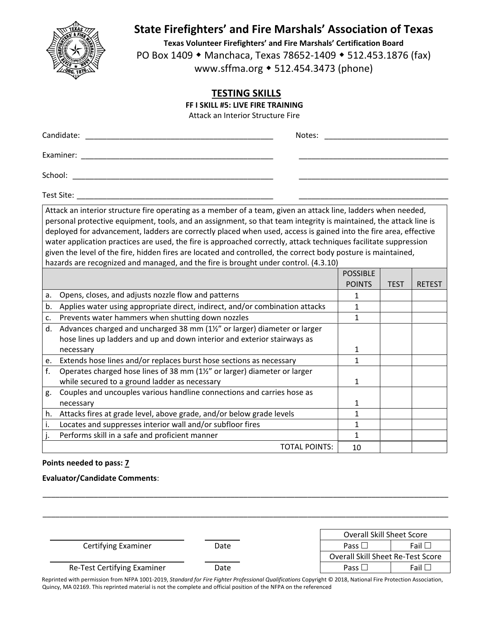

**Texas Volunteer Firefighters' and Fire Marshals' Certification Board** PO Box 1409 • Manchaca, Texas 78652-1409 • 512.453.1876 (fax) www.sffma.org 512.454.3473 (phone)

## **TESTING SKILLS**

**FF I SKILL #5: LIVE FIRE TRAINING** Attack an Interior Structure Fire

| Candidate: | Notes: |  |
|------------|--------|--|
| Examiner:  |        |  |
| School:    |        |  |

Test Site: \_\_\_\_\_\_\_\_\_\_\_\_\_\_\_\_\_\_\_\_\_\_\_\_\_\_\_\_\_\_\_\_\_\_\_\_\_\_\_\_\_\_\_\_\_\_ \_\_\_\_\_\_\_\_\_\_\_\_\_\_\_\_\_\_\_\_\_\_\_\_\_\_\_\_\_\_\_\_\_\_\_

Attack an interior structure fire operating as a member of a team, given an attack line, ladders when needed, personal protective equipment, tools, and an assignment, so that team integrity is maintained, the attack line is deployed for advancement, ladders are correctly placed when used, access is gained into the fire area, effective water application practices are used, the fire is approached correctly, attack techniques facilitate suppression given the level of the fire, hidden fires are located and controlled, the correct body posture is maintained, hazards are recognized and managed, and the fire is brought under control. (4.3.10)

|    |                                                                              | <b>POSSIBLE</b> |             |               |
|----|------------------------------------------------------------------------------|-----------------|-------------|---------------|
|    |                                                                              | <b>POINTS</b>   | <b>TEST</b> | <b>RETEST</b> |
| a. | Opens, closes, and adjusts nozzle flow and patterns                          |                 |             |               |
| b. | Applies water using appropriate direct, indirect, and/or combination attacks |                 |             |               |
| c. | Prevents water hammers when shutting down nozzles                            | 1               |             |               |
| d. | Advances charged and uncharged 38 mm (1½" or larger) diameter or larger      |                 |             |               |
|    | hose lines up ladders and up and down interior and exterior stairways as     |                 |             |               |
|    | necessary                                                                    |                 |             |               |
| e. | Extends hose lines and/or replaces burst hose sections as necessary          |                 |             |               |
| f. | Operates charged hose lines of 38 mm (1%" or larger) diameter or larger      |                 |             |               |
|    | while secured to a ground ladder as necessary                                |                 |             |               |
| g. | Couples and uncouples various handline connections and carries hose as       |                 |             |               |
|    | necessary                                                                    |                 |             |               |
| h. | Attacks fires at grade level, above grade, and/or below grade levels         |                 |             |               |
|    | Locates and suppresses interior wall and/or subfloor fires                   |                 |             |               |
|    | Performs skill in a safe and proficient manner                               |                 |             |               |
|    | TOTAL POINTS:                                                                | 10              |             |               |

## **Points needed to pass: 7**

## **Evaluator/Candidate Comments**:

|                             |      | <b>Overall Skill Sheet Score</b>         |
|-----------------------------|------|------------------------------------------|
| Certifying Examiner         | Date | Fail $\Box$<br>Pass $\Box$               |
|                             |      | <b>Overall Skill Sheet Re-Test Score</b> |
| Re-Test Certifying Examiner | Date | Fail $\Box$<br>Pass $\square$            |

\_\_\_\_\_\_\_\_\_\_\_\_\_\_\_\_\_\_\_\_\_\_\_\_\_\_\_\_\_\_\_\_\_\_\_\_\_\_\_\_\_\_\_\_\_\_\_\_\_\_\_\_\_\_\_\_\_\_\_\_\_\_\_\_\_\_\_\_\_\_\_\_\_\_\_\_\_\_\_\_\_\_\_\_\_\_\_\_\_\_\_\_\_\_\_

Reprinted with permission from NFPA 1001‐2019, *Standard for Fire Fighter Professional Qualifications* Copyright © 2018, National Fire Protection Association, Quincy, MA 02169. This reprinted material is not the complete and official position of the NFPA on the referenced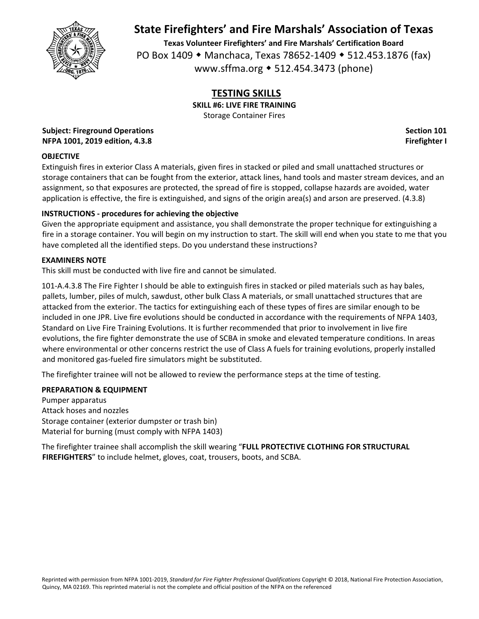

**Texas Volunteer Firefighters' and Fire Marshals' Certification Board** PO Box 1409 • Manchaca, Texas 78652-1409 • 512.453.1876 (fax) www.sffma.org 512.454.3473 (phone)

# **TESTING SKILLS**

**SKILL #6: LIVE FIRE TRAINING**

Storage Container Fires

**Subject: Fireground Operations Section 101 NFPA 1001, 2019 edition, 4.3.8 Firefighter I**

### **OBJECTIVE**

Extinguish fires in exterior Class A materials, given fires in stacked or piled and small unattached structures or storage containers that can be fought from the exterior, attack lines, hand tools and master stream devices, and an assignment, so that exposures are protected, the spread of fire is stopped, collapse hazards are avoided, water application is effective, the fire is extinguished, and signs of the origin area(s) and arson are preserved. (4.3.8)

## **INSTRUCTIONS ‐ procedures for achieving the objective**

Given the appropriate equipment and assistance, you shall demonstrate the proper technique for extinguishing a fire in a storage container. You will begin on my instruction to start. The skill will end when you state to me that you have completed all the identified steps. Do you understand these instructions?

#### **EXAMINERS NOTE**

This skill must be conducted with live fire and cannot be simulated.

101‐A.4.3.8 The Fire Fighter I should be able to extinguish fires in stacked or piled materials such as hay bales, pallets, lumber, piles of mulch, sawdust, other bulk Class A materials, or small unattached structures that are attacked from the exterior. The tactics for extinguishing each of these types of fires are similar enough to be included in one JPR. Live fire evolutions should be conducted in accordance with the requirements of NFPA 1403, Standard on Live Fire Training Evolutions. It is further recommended that prior to involvement in live fire evolutions, the fire fighter demonstrate the use of SCBA in smoke and elevated temperature conditions. In areas where environmental or other concerns restrict the use of Class A fuels for training evolutions, properly installed and monitored gas-fueled fire simulators might be substituted.

The firefighter trainee will not be allowed to review the performance steps at the time of testing.

## **PREPARATION & EQUIPMENT**

Pumper apparatus Attack hoses and nozzles Storage container (exterior dumpster or trash bin) Material for burning (must comply with NFPA 1403)

The firefighter trainee shall accomplish the skill wearing "**FULL PROTECTIVE CLOTHING FOR STRUCTURAL FIREFIGHTERS**" to include helmet, gloves, coat, trousers, boots, and SCBA.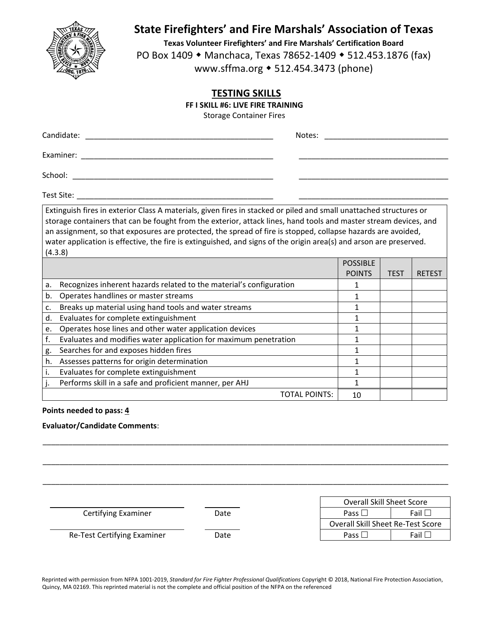

**Texas Volunteer Firefighters' and Fire Marshals' Certification Board** PO Box 1409 • Manchaca, Texas 78652-1409 • 512.453.1876 (fax) www.sffma.org 512.454.3473 (phone)

## **TESTING SKILLS**

**FF I SKILL #6: LIVE FIRE TRAINING**

Storage Container Fires

| Candidate: | Notes: |
|------------|--------|
| Examiner:  |        |
| School:    |        |

Test Site: \_\_\_\_\_\_\_\_\_\_\_\_\_\_\_\_\_\_\_\_\_\_\_\_\_\_\_\_\_\_\_\_\_\_\_\_\_\_\_\_\_\_\_\_\_\_ \_\_\_\_\_\_\_\_\_\_\_\_\_\_\_\_\_\_\_\_\_\_\_\_\_\_\_\_\_\_\_\_\_\_\_

Extinguish fires in exterior Class A materials, given fires in stacked or piled and small unattached structures or storage containers that can be fought from the exterior, attack lines, hand tools and master stream devices, and an assignment, so that exposures are protected, the spread of fire is stopped, collapse hazards are avoided, water application is effective, the fire is extinguished, and signs of the origin area(s) and arson are preserved. (4.3.8)

|    |                                                                     | <b>POSSIBLE</b> |             |               |
|----|---------------------------------------------------------------------|-----------------|-------------|---------------|
|    |                                                                     | <b>POINTS</b>   | <b>TEST</b> | <b>RETEST</b> |
| a. | Recognizes inherent hazards related to the material's configuration |                 |             |               |
| b. | Operates handlines or master streams                                |                 |             |               |
| c. | Breaks up material using hand tools and water streams               |                 |             |               |
| d. | Evaluates for complete extinguishment                               |                 |             |               |
| e. | Operates hose lines and other water application devices             |                 |             |               |
|    | Evaluates and modifies water application for maximum penetration    |                 |             |               |
| g. | Searches for and exposes hidden fires                               |                 |             |               |
| h. | Assesses patterns for origin determination                          |                 |             |               |
|    | Evaluates for complete extinguishment                               |                 |             |               |
|    | Performs skill in a safe and proficient manner, per AHJ             |                 |             |               |
|    | <b>TOTAL POINTS:</b>                                                | 10              |             |               |

\_\_\_\_\_\_\_\_\_\_\_\_\_\_\_\_\_\_\_\_\_\_\_\_\_\_\_\_\_\_\_\_\_\_\_\_\_\_\_\_\_\_\_\_\_\_\_\_\_\_\_\_\_\_\_\_\_\_\_\_\_\_\_\_\_\_\_\_\_\_\_\_\_\_\_\_\_\_\_\_\_\_\_\_\_\_\_\_\_\_\_\_\_\_\_

\_\_\_\_\_\_\_\_\_\_\_\_\_\_\_\_\_\_\_\_\_\_\_\_\_\_\_\_\_\_\_\_\_\_\_\_\_\_\_\_\_\_\_\_\_\_\_\_\_\_\_\_\_\_\_\_\_\_\_\_\_\_\_\_\_\_\_\_\_\_\_\_\_\_\_\_\_\_\_\_\_\_\_\_\_\_\_\_\_\_\_\_\_\_\_

\_\_\_\_\_\_\_\_\_\_\_\_\_\_\_\_\_\_\_\_\_\_\_\_\_\_\_\_\_\_\_\_\_\_\_\_\_\_\_\_\_\_\_\_\_\_\_\_\_\_\_\_\_\_\_\_\_\_\_\_\_\_\_\_\_\_\_\_\_\_\_\_\_\_\_\_\_\_\_\_\_\_\_\_\_\_\_\_\_\_\_\_\_\_\_

**Points needed to pass: 4**

**Evaluator/Candidate Comments**:

 Overall Skill Sheet Score **Certifying Examiner Date Date Example 2 Fail Fail Fail Fail Fail Fail Fail**  Overall Skill Sheet Re‐Test Score Re-Test Certifying Examiner **Date Date Fail Pass** Fail Fail Fail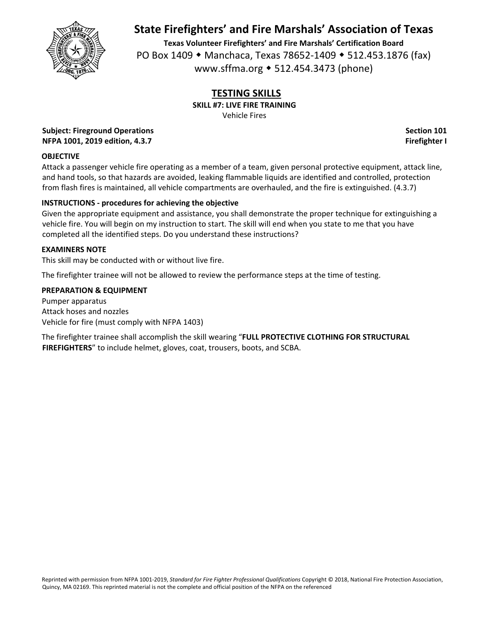

**Texas Volunteer Firefighters' and Fire Marshals' Certification Board** PO Box 1409 • Manchaca, Texas 78652-1409 • 512.453.1876 (fax) www.sffma.org 512.454.3473 (phone)

# **TESTING SKILLS**

**SKILL #7: LIVE FIRE TRAINING**

Vehicle Fires

**Subject: Fireground Operations Section 101 NFPA 1001, 2019 edition, 4.3.7 Firefighter I**

### **OBJECTIVE**

Attack a passenger vehicle fire operating as a member of a team, given personal protective equipment, attack line, and hand tools, so that hazards are avoided, leaking flammable liquids are identified and controlled, protection from flash fires is maintained, all vehicle compartments are overhauled, and the fire is extinguished. (4.3.7)

## **INSTRUCTIONS ‐ procedures for achieving the objective**

Given the appropriate equipment and assistance, you shall demonstrate the proper technique for extinguishing a vehicle fire. You will begin on my instruction to start. The skill will end when you state to me that you have completed all the identified steps. Do you understand these instructions?

#### **EXAMINERS NOTE**

This skill may be conducted with or without live fire.

The firefighter trainee will not be allowed to review the performance steps at the time of testing.

### **PREPARATION & EQUIPMENT**

Pumper apparatus Attack hoses and nozzles Vehicle for fire (must comply with NFPA 1403)

The firefighter trainee shall accomplish the skill wearing "**FULL PROTECTIVE CLOTHING FOR STRUCTURAL FIREFIGHTERS**" to include helmet, gloves, coat, trousers, boots, and SCBA.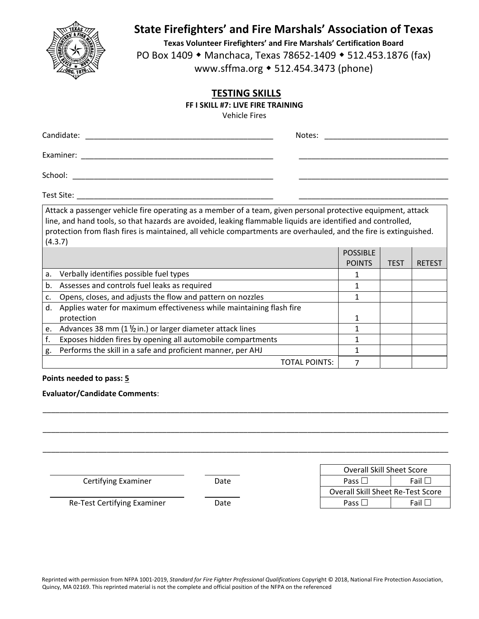

**Texas Volunteer Firefighters' and Fire Marshals' Certification Board** PO Box 1409 • Manchaca, Texas 78652-1409 • 512.453.1876 (fax) www.sffma.org 512.454.3473 (phone)

## **TESTING SKILLS**

**FF I SKILL #7: LIVE FIRE TRAINING**

Vehicle Fires

| Candidate:<br><u> 1989 - Johann John Stone, markin amerikan bisa di sebagai pertama dan bagian dan bagian dan bagian dan bagian</u> | Notes: |
|-------------------------------------------------------------------------------------------------------------------------------------|--------|
| Examiner:                                                                                                                           |        |
| School:                                                                                                                             |        |
| Test Site:                                                                                                                          |        |

Attack a passenger vehicle fire operating as a member of a team, given personal protective equipment, attack line, and hand tools, so that hazards are avoided, leaking flammable liquids are identified and controlled, protection from flash fires is maintained, all vehicle compartments are overhauled, and the fire is extinguished. (4.3.7)

|    |                                                                      | <b>POSSIBLE</b> |             |              |
|----|----------------------------------------------------------------------|-----------------|-------------|--------------|
|    |                                                                      | <b>POINTS</b>   | <b>TEST</b> | <b>RETES</b> |
| a. | Verbally identifies possible fuel types                              |                 |             |              |
| b. | Assesses and controls fuel leaks as required                         |                 |             |              |
|    | Opens, closes, and adjusts the flow and pattern on nozzles           |                 |             |              |
| d. | Applies water for maximum effectiveness while maintaining flash fire |                 |             |              |
|    | protection                                                           |                 |             |              |
| e. | Advances 38 mm (1 $\frac{1}{2}$ in.) or larger diameter attack lines |                 |             |              |
|    | Exposes hidden fires by opening all automobile compartments          |                 |             |              |
| g. | Performs the skill in a safe and proficient manner, per AHJ          |                 |             |              |
|    | TOTAL POINTS:                                                        |                 |             |              |

### **Points needed to pass: 5**

## **Evaluator/Candidate Comments**:

|      | <b>Overall Skill Sheet Score</b>  |
|------|-----------------------------------|
| Date | Fail $\Box$<br>Pass $\Box$        |
|      | Overall Skill Sheet Re-Test Score |
| Date | Fail $\Box$<br>Pass [             |
|      |                                   |

\_\_\_\_\_\_\_\_\_\_\_\_\_\_\_\_\_\_\_\_\_\_\_\_\_\_\_\_\_\_\_\_\_\_\_\_\_\_\_\_\_\_\_\_\_\_\_\_\_\_\_\_\_\_\_\_\_\_\_\_\_\_\_\_\_\_\_\_\_\_\_\_\_\_\_\_\_\_\_\_\_\_\_\_\_\_\_\_\_\_\_\_\_\_\_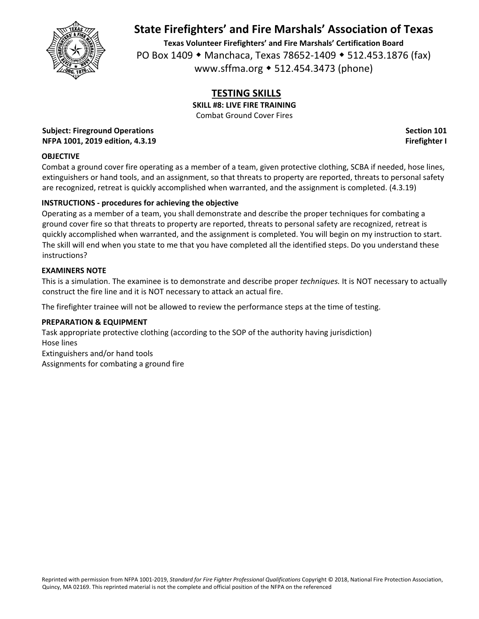

**Texas Volunteer Firefighters' and Fire Marshals' Certification Board** PO Box 1409 • Manchaca, Texas 78652-1409 • 512.453.1876 (fax) www.sffma.org 512.454.3473 (phone)

## **TESTING SKILLS**

**SKILL #8: LIVE FIRE TRAINING** Combat Ground Cover Fires

**Subject: Fireground Operations Section 101 NFPA 1001, 2019 edition, 4.3.19 Firefighter I**

## **OBJECTIVE**

Combat a ground cover fire operating as a member of a team, given protective clothing, SCBA if needed, hose lines, extinguishers or hand tools, and an assignment, so that threats to property are reported, threats to personal safety are recognized, retreat is quickly accomplished when warranted, and the assignment is completed. (4.3.19)

### **INSTRUCTIONS ‐ procedures for achieving the objective**

Operating as a member of a team, you shall demonstrate and describe the proper techniques for combating a ground cover fire so that threats to property are reported, threats to personal safety are recognized, retreat is quickly accomplished when warranted, and the assignment is completed. You will begin on my instruction to start. The skill will end when you state to me that you have completed all the identified steps. Do you understand these instructions?

#### **EXAMINERS NOTE**

This is a simulation. The examinee is to demonstrate and describe proper *techniques.* It is NOT necessary to actually construct the fire line and it is NOT necessary to attack an actual fire.

The firefighter trainee will not be allowed to review the performance steps at the time of testing.

#### **PREPARATION & EQUIPMENT**

Task appropriate protective clothing (according to the SOP of the authority having jurisdiction) Hose lines Extinguishers and/or hand tools Assignments for combating a ground fire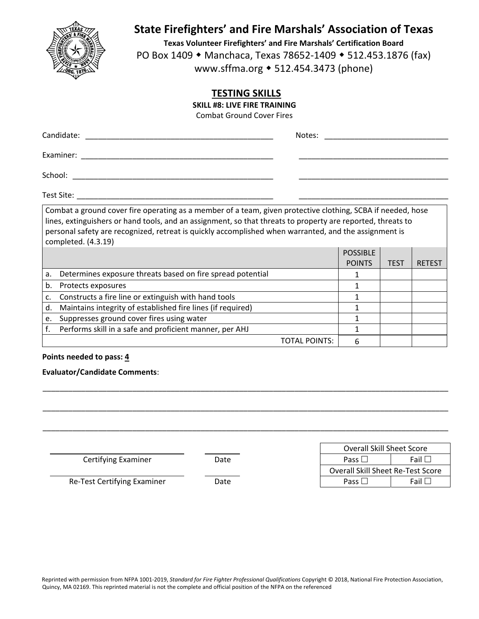

**Texas Volunteer Firefighters' and Fire Marshals' Certification Board** PO Box 1409 • Manchaca, Texas 78652-1409 • 512.453.1876 (fax) www.sffma.org 512.454.3473 (phone)

## **TESTING SKILLS**

**SKILL #8: LIVE FIRE TRAINING**

| <b>Combat Ground Cover Fires</b> |
|----------------------------------|
|----------------------------------|

| Candidate:<br><u> 1980 - Jan Berlin, mars et al. (b. 1980)</u>                                                                     | Notes:<br>the control of the control of the control of the control of |
|------------------------------------------------------------------------------------------------------------------------------------|-----------------------------------------------------------------------|
| Examiner:<br><u> 1989 - Johann John Stoff, deutscher Stoffen und der Stoffen und der Stoffen und der Stoffen und der Stoffen u</u> |                                                                       |
| School:                                                                                                                            |                                                                       |
| Test Site:                                                                                                                         |                                                                       |

Combat a ground cover fire operating as a member of a team, given protective clothing, SCBA if needed, hose lines, extinguishers or hand tools, and an assignment, so that threats to property are reported, threats to personal safety are recognized, retreat is quickly accomplished when warranted, and the assignment is completed. (4.3.19)

|    |                                                             | <b>POSSIBLE</b> |             |               |
|----|-------------------------------------------------------------|-----------------|-------------|---------------|
|    |                                                             | <b>POINTS</b>   | <b>TEST</b> | <b>RETEST</b> |
| a. | Determines exposure threats based on fire spread potential  |                 |             |               |
| b. | Protects exposures                                          |                 |             |               |
| c. | Constructs a fire line or extinguish with hand tools        |                 |             |               |
| d. | Maintains integrity of established fire lines (if required) |                 |             |               |
| e. | Suppresses ground cover fires using water                   |                 |             |               |
|    | Performs skill in a safe and proficient manner, per AHJ     |                 |             |               |
|    | TOTAL POINTS:                                               |                 |             |               |

#### **Points needed to pass: 4**

#### **Evaluator/Candidate Comments**:

|                             |      | <b>Overall Skill Sheet Score</b>  |                |
|-----------------------------|------|-----------------------------------|----------------|
| Certifying Examiner         | Date | Pass $\Box$                       | Fail $\square$ |
|                             |      | Overall Skill Sheet Re-Test Score |                |
| Re-Test Certifying Examiner | Date | Pass $\mathsf{\mathsf{L}}$        | Fail $\Box$    |
|                             |      |                                   |                |

\_\_\_\_\_\_\_\_\_\_\_\_\_\_\_\_\_\_\_\_\_\_\_\_\_\_\_\_\_\_\_\_\_\_\_\_\_\_\_\_\_\_\_\_\_\_\_\_\_\_\_\_\_\_\_\_\_\_\_\_\_\_\_\_\_\_\_\_\_\_\_\_\_\_\_\_\_\_\_\_\_\_\_\_\_\_\_\_\_\_\_\_\_\_\_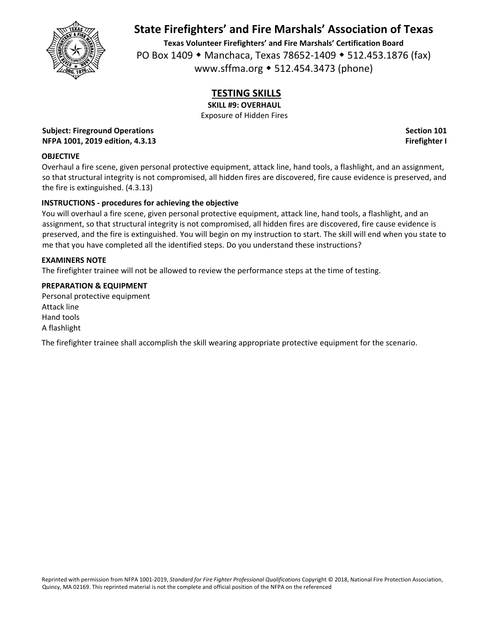

**Texas Volunteer Firefighters' and Fire Marshals' Certification Board** PO Box 1409 • Manchaca, Texas 78652-1409 • 512.453.1876 (fax) www.sffma.org 512.454.3473 (phone)

# **TESTING SKILLS**

**SKILL #9: OVERHAUL**

Exposure of Hidden Fires

**Subject: Fireground Operations Section 101 NFPA 1001, 2019 edition, 4.3.13 Firefighter I**

## **OBJECTIVE**

Overhaul a fire scene, given personal protective equipment, attack line, hand tools, a flashlight, and an assignment, so that structural integrity is not compromised, all hidden fires are discovered, fire cause evidence is preserved, and the fire is extinguished. (4.3.13)

## **INSTRUCTIONS ‐ procedures for achieving the objective**

You will overhaul a fire scene, given personal protective equipment, attack line, hand tools, a flashlight, and an assignment, so that structural integrity is not compromised, all hidden fires are discovered, fire cause evidence is preserved, and the fire is extinguished. You will begin on my instruction to start. The skill will end when you state to me that you have completed all the identified steps. Do you understand these instructions?

### **EXAMINERS NOTE**

The firefighter trainee will not be allowed to review the performance steps at the time of testing.

### **PREPARATION & EQUIPMENT**

Personal protective equipment Attack line Hand tools A flashlight

The firefighter trainee shall accomplish the skill wearing appropriate protective equipment for the scenario.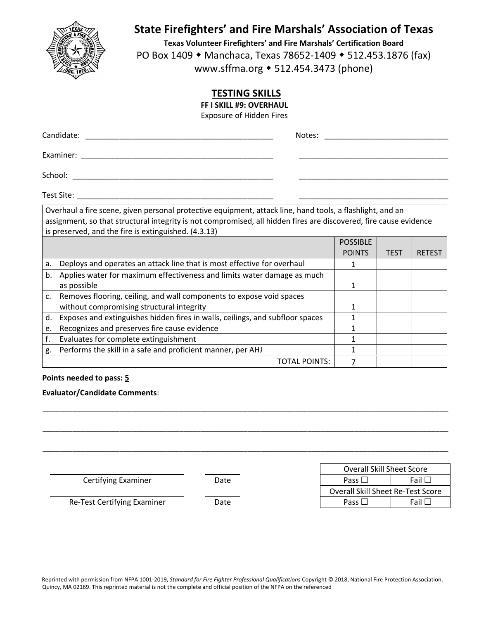

**Texas Volunteer Firefighters' and Fire Marshals' Certification Board** PO Box 1409 • Manchaca, Texas 78652-1409 • 512.453.1876 (fax) www.sffma.org 512.454.3473 (phone)

## **TESTING SKILLS**

**FF I SKILL #9: OVERHAUL**

Exposure of Hidden Fires

| Candidate: | Notes: |
|------------|--------|
| Examiner:  |        |
| School:    |        |
| Test Site: |        |

Overhaul a fire scene, given personal protective equipment, attack line, hand tools, a flashlight, and an assignment, so that structural integrity is not compromised, all hidden fires are discovered, fire cause evidence is preserved, and the fire is extinguished. (4.3.13)

|    |                                                                               | <b>POSSIBLE</b> |             |               |
|----|-------------------------------------------------------------------------------|-----------------|-------------|---------------|
|    |                                                                               | <b>POINTS</b>   | <b>TEST</b> | <b>RETEST</b> |
| a. | Deploys and operates an attack line that is most effective for overhaul       |                 |             |               |
| b. | Applies water for maximum effectiveness and limits water damage as much       |                 |             |               |
|    | as possible                                                                   |                 |             |               |
| c. | Removes flooring, ceiling, and wall components to expose void spaces          |                 |             |               |
|    | without compromising structural integrity                                     |                 |             |               |
| d. | Exposes and extinguishes hidden fires in walls, ceilings, and subfloor spaces |                 |             |               |
| e. | Recognizes and preserves fire cause evidence                                  |                 |             |               |
|    | Evaluates for complete extinguishment                                         | 1               |             |               |
| g. | Performs the skill in a safe and proficient manner, per AHJ                   |                 |             |               |
|    | TOTAL POINTS:                                                                 |                 |             |               |

### **Points needed to pass: 5**

#### **Evaluator/Candidate Comments**:

|                             |      | <b>Overall Skill Sheet Score</b>         |                |
|-----------------------------|------|------------------------------------------|----------------|
| Certifying Examiner         | Date | Pass $\Box$                              | Fail $\square$ |
|                             |      | <b>Overall Skill Sheet Re-Test Score</b> |                |
| Re-Test Certifying Examiner | Date | Pass $\Box$                              | Fail $\square$ |

\_\_\_\_\_\_\_\_\_\_\_\_\_\_\_\_\_\_\_\_\_\_\_\_\_\_\_\_\_\_\_\_\_\_\_\_\_\_\_\_\_\_\_\_\_\_\_\_\_\_\_\_\_\_\_\_\_\_\_\_\_\_\_\_\_\_\_\_\_\_\_\_\_\_\_\_\_\_\_\_\_\_\_\_\_\_\_\_\_\_\_\_\_\_\_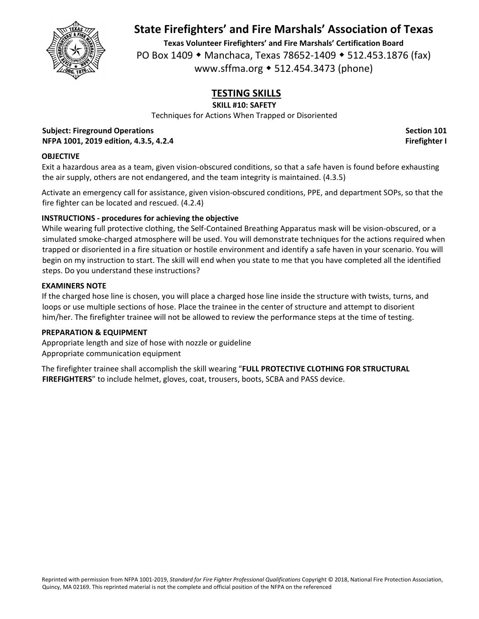

**Texas Volunteer Firefighters' and Fire Marshals' Certification Board** PO Box 1409 • Manchaca, Texas 78652-1409 • 512.453.1876 (fax) www.sffma.org 512.454.3473 (phone)

# **TESTING SKILLS**

**SKILL #10: SAFETY**

Techniques for Actions When Trapped or Disoriented

### **Subject: Fireground Operations Section 101 NFPA 1001, 2019 edition, 4.3.5, 4.2.4 Firefighter I**

## **OBJECTIVE**

Exit a hazardous area as a team, given vision‐obscured conditions, so that a safe haven is found before exhausting the air supply, others are not endangered, and the team integrity is maintained. (4.3.5)

Activate an emergency call for assistance, given vision‐obscured conditions, PPE, and department SOPs, so that the fire fighter can be located and rescued. (4.2.4)

### **INSTRUCTIONS ‐ procedures for achieving the objective**

While wearing full protective clothing, the Self-Contained Breathing Apparatus mask will be vision-obscured, or a simulated smoke‐charged atmosphere will be used. You will demonstrate techniques for the actions required when trapped or disoriented in a fire situation or hostile environment and identify a safe haven in your scenario. You will begin on my instruction to start. The skill will end when you state to me that you have completed all the identified steps. Do you understand these instructions?

#### **EXAMINERS NOTE**

If the charged hose line is chosen, you will place a charged hose line inside the structure with twists, turns, and loops or use multiple sections of hose. Place the trainee in the center of structure and attempt to disorient him/her. The firefighter trainee will not be allowed to review the performance steps at the time of testing.

#### **PREPARATION & EQUIPMENT**

Appropriate length and size of hose with nozzle or guideline Appropriate communication equipment

The firefighter trainee shall accomplish the skill wearing "**FULL PROTECTIVE CLOTHING FOR STRUCTURAL FIREFIGHTERS**" to include helmet, gloves, coat, trousers, boots, SCBA and PASS device.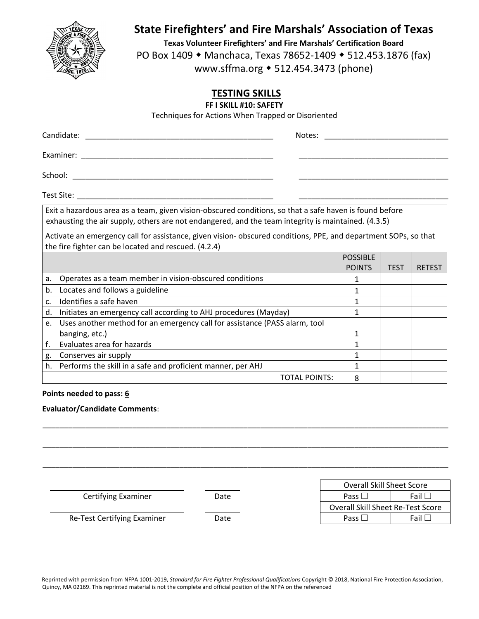

**Texas Volunteer Firefighters' and Fire Marshals' Certification Board** PO Box 1409 • Manchaca, Texas 78652-1409 • 512.453.1876 (fax) www.sffma.org 512.454.3473 (phone)

## **TESTING SKILLS**

**FF I SKILL #10: SAFETY**

Techniques for Actions When Trapped or Disoriented

|             | Notes:                                                                                                                                                                                                         |                 |             |               |
|-------------|----------------------------------------------------------------------------------------------------------------------------------------------------------------------------------------------------------------|-----------------|-------------|---------------|
|             |                                                                                                                                                                                                                |                 |             |               |
|             |                                                                                                                                                                                                                |                 |             |               |
|             |                                                                                                                                                                                                                |                 |             |               |
|             | Exit a hazardous area as a team, given vision-obscured conditions, so that a safe haven is found before<br>exhausting the air supply, others are not endangered, and the team integrity is maintained. (4.3.5) |                 |             |               |
|             | Activate an emergency call for assistance, given vision-obscured conditions, PPE, and department SOPs, so that<br>the fire fighter can be located and rescued. (4.2.4)                                         |                 |             |               |
|             |                                                                                                                                                                                                                | <b>POSSIBLE</b> |             |               |
|             |                                                                                                                                                                                                                | <b>POINTS</b>   | <b>TEST</b> | <b>RETEST</b> |
| a.          | Operates as a team member in vision-obscured conditions                                                                                                                                                        | 1               |             |               |
| b.          | Locates and follows a guideline                                                                                                                                                                                | 1               |             |               |
| $C_{\cdot}$ | Identifies a safe haven                                                                                                                                                                                        | $\mathbf{1}$    |             |               |
| d.          | Initiates an emergency call according to AHJ procedures (Mayday)                                                                                                                                               | 1               |             |               |
| e.          | Uses another method for an emergency call for assistance (PASS alarm, tool                                                                                                                                     |                 |             |               |
|             | banging, etc.)                                                                                                                                                                                                 | 1               |             |               |
| f.          | Evaluates area for hazards                                                                                                                                                                                     | 1               |             |               |
| g.          | Conserves air supply                                                                                                                                                                                           | 1               |             |               |
|             | h. Performs the skill in a safe and proficient manner, per AHJ                                                                                                                                                 | 1               |             |               |
|             | TOTAL POINTS:                                                                                                                                                                                                  | 8               |             |               |

#### **Points needed to pass: 6**

#### **Evaluator/Candidate Comments**:

**Certifying Examiner Date** 

Re‐Test Certifying Examiner Date Pass Fail

|               |      | <b>Overall Skill Sheet Score</b>  |
|---------------|------|-----------------------------------|
| Examiner      | Date | Fail $\Box$<br>Pass $\Box$        |
|               |      | Overall Skill Sheet Re-Test Score |
| ying Examiner | Date | Fail<br>Pass $\Box$               |

\_\_\_\_\_\_\_\_\_\_\_\_\_\_\_\_\_\_\_\_\_\_\_\_\_\_\_\_\_\_\_\_\_\_\_\_\_\_\_\_\_\_\_\_\_\_\_\_\_\_\_\_\_\_\_\_\_\_\_\_\_\_\_\_\_\_\_\_\_\_\_\_\_\_\_\_\_\_\_\_\_\_\_\_\_\_\_\_\_\_\_\_\_\_\_

\_\_\_\_\_\_\_\_\_\_\_\_\_\_\_\_\_\_\_\_\_\_\_\_\_\_\_\_\_\_\_\_\_\_\_\_\_\_\_\_\_\_\_\_\_\_\_\_\_\_\_\_\_\_\_\_\_\_\_\_\_\_\_\_\_\_\_\_\_\_\_\_\_\_\_\_\_\_\_\_\_\_\_\_\_\_\_\_\_\_\_\_\_\_\_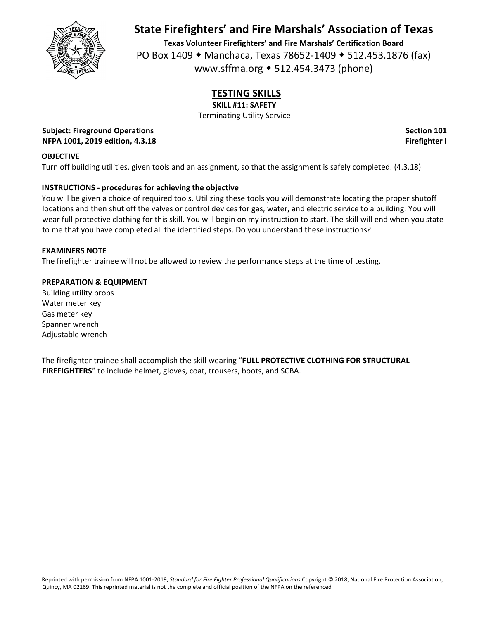

**Texas Volunteer Firefighters' and Fire Marshals' Certification Board** PO Box 1409 • Manchaca, Texas 78652-1409 • 512.453.1876 (fax) www.sffma.org 512.454.3473 (phone)

# **TESTING SKILLS**

**SKILL #11: SAFETY**

Terminating Utility Service

**Subject: Fireground Operations Section 101 NFPA 1001, 2019 edition, 4.3.18 Firefighter I**

### **OBJECTIVE**

Turn off building utilities, given tools and an assignment, so that the assignment is safely completed. (4.3.18)

### **INSTRUCTIONS ‐ procedures for achieving the objective**

You will be given a choice of required tools. Utilizing these tools you will demonstrate locating the proper shutoff locations and then shut off the valves or control devices for gas, water, and electric service to a building. You will wear full protective clothing for this skill. You will begin on my instruction to start. The skill will end when you state to me that you have completed all the identified steps. Do you understand these instructions?

#### **EXAMINERS NOTE**

The firefighter trainee will not be allowed to review the performance steps at the time of testing.

#### **PREPARATION & EQUIPMENT**

Building utility props Water meter key Gas meter key Spanner wrench Adjustable wrench

The firefighter trainee shall accomplish the skill wearing "**FULL PROTECTIVE CLOTHING FOR STRUCTURAL FIREFIGHTERS**" to include helmet, gloves, coat, trousers, boots, and SCBA.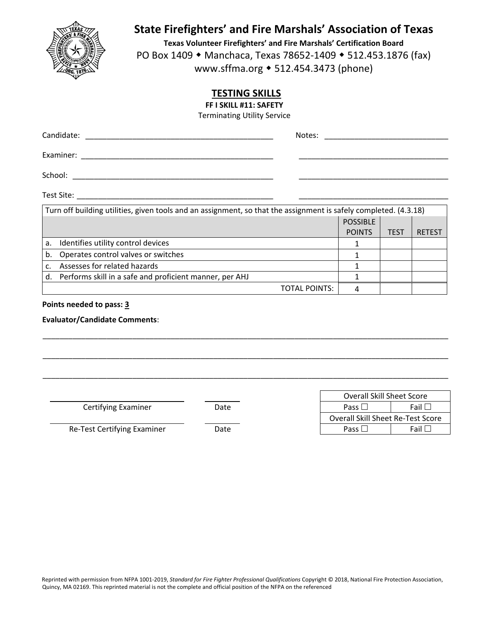

**Texas Volunteer Firefighters' and Fire Marshals' Certification Board** PO Box 1409 • Manchaca, Texas 78652-1409 • 512.453.1876 (fax) www.sffma.org 512.454.3473 (phone)

## **TESTING SKILLS**

**FF I SKILL #11: SAFETY**

Terminating Utility Service

| Candidate:                                            | Notes:<br><u> 1989 - Johann Harry Harry Harry Harry Harry Harry Harry Harry Harry Harry Harry Harry Harry Harry Harry Harry</u> |
|-------------------------------------------------------|---------------------------------------------------------------------------------------------------------------------------------|
| Examiner:                                             |                                                                                                                                 |
| School:<br><u> 1980 - Jan Samuel Samuel (b. 1980)</u> |                                                                                                                                 |
| Test Site:                                            |                                                                                                                                 |
|                                                       | $\pm$ . The distribution of the contract of the second contract of the distribution of the contract of $\mu$ $\alpha$ $\alpha$  |

|    | Turn off building utilities, given tools and an assignment, so that the assignment is safely completed. (4.3.18) |                 |             |               |  |
|----|------------------------------------------------------------------------------------------------------------------|-----------------|-------------|---------------|--|
|    |                                                                                                                  | <b>POSSIBLE</b> |             |               |  |
|    |                                                                                                                  | <b>POINTS</b>   | <b>TEST</b> | <b>RETEST</b> |  |
| a. | Identifies utility control devices                                                                               |                 |             |               |  |
| b. | Operates control valves or switches                                                                              |                 |             |               |  |
|    | Assesses for related hazards                                                                                     |                 |             |               |  |
|    | d. Performs skill in a safe and proficient manner, per AHJ                                                       |                 |             |               |  |
|    | <b>TOTAL POINTS:</b>                                                                                             |                 |             |               |  |

\_\_\_\_\_\_\_\_\_\_\_\_\_\_\_\_\_\_\_\_\_\_\_\_\_\_\_\_\_\_\_\_\_\_\_\_\_\_\_\_\_\_\_\_\_\_\_\_\_\_\_\_\_\_\_\_\_\_\_\_\_\_\_\_\_\_\_\_\_\_\_\_\_\_\_\_\_\_\_\_\_\_\_\_\_\_\_\_\_\_\_\_\_\_\_

\_\_\_\_\_\_\_\_\_\_\_\_\_\_\_\_\_\_\_\_\_\_\_\_\_\_\_\_\_\_\_\_\_\_\_\_\_\_\_\_\_\_\_\_\_\_\_\_\_\_\_\_\_\_\_\_\_\_\_\_\_\_\_\_\_\_\_\_\_\_\_\_\_\_\_\_\_\_\_\_\_\_\_\_\_\_\_\_\_\_\_\_\_\_\_

\_\_\_\_\_\_\_\_\_\_\_\_\_\_\_\_\_\_\_\_\_\_\_\_\_\_\_\_\_\_\_\_\_\_\_\_\_\_\_\_\_\_\_\_\_\_\_\_\_\_\_\_\_\_\_\_\_\_\_\_\_\_\_\_\_\_\_\_\_\_\_\_\_\_\_\_\_\_\_\_\_\_\_\_\_\_\_\_\_\_\_\_\_\_\_

**Points needed to pass: 3**

**Evaluator/Candidate Comments**:

**Certifying Examiner Date** 

Re‐Test Certifying Examiner Date Pass Fail

|               |      | <b>Overall Skill Sheet Score</b>  |
|---------------|------|-----------------------------------|
| Examiner      | Date | - Fail L<br>Pass $\Box$           |
|               |      | Overall Skill Sheet Re-Test Score |
| ying Examiner | Date | Fail I<br>Pass L                  |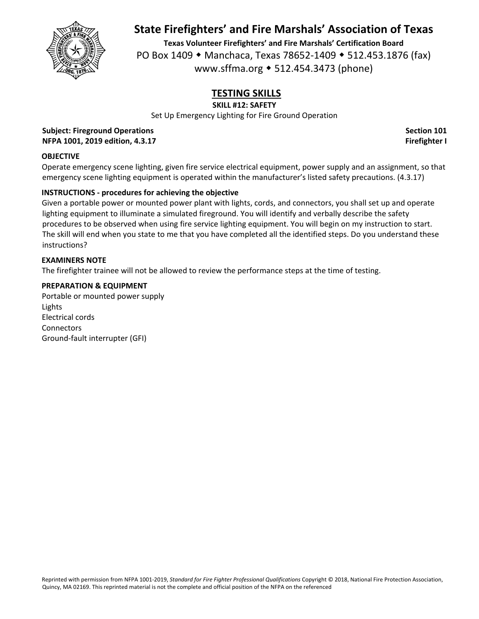

**Texas Volunteer Firefighters' and Fire Marshals' Certification Board** PO Box 1409 • Manchaca, Texas 78652-1409 • 512.453.1876 (fax) www.sffma.org 512.454.3473 (phone)

# **TESTING SKILLS**

**SKILL #12: SAFETY**

Set Up Emergency Lighting for Fire Ground Operation

## **Subject: Fireground Operations Section 101 NFPA 1001, 2019 edition, 4.3.17 Firefighter I**

## **OBJECTIVE**

Operate emergency scene lighting, given fire service electrical equipment, power supply and an assignment, so that emergency scene lighting equipment is operated within the manufacturer's listed safety precautions. (4.3.17)

## **INSTRUCTIONS ‐ procedures for achieving the objective**

Given a portable power or mounted power plant with lights, cords, and connectors, you shall set up and operate lighting equipment to illuminate a simulated fireground. You will identify and verbally describe the safety procedures to be observed when using fire service lighting equipment. You will begin on my instruction to start. The skill will end when you state to me that you have completed all the identified steps. Do you understand these instructions?

### **EXAMINERS NOTE**

The firefighter trainee will not be allowed to review the performance steps at the time of testing.

### **PREPARATION & EQUIPMENT**

Portable or mounted power supply Lights Electrical cords **Connectors** Ground‐fault interrupter (GFI)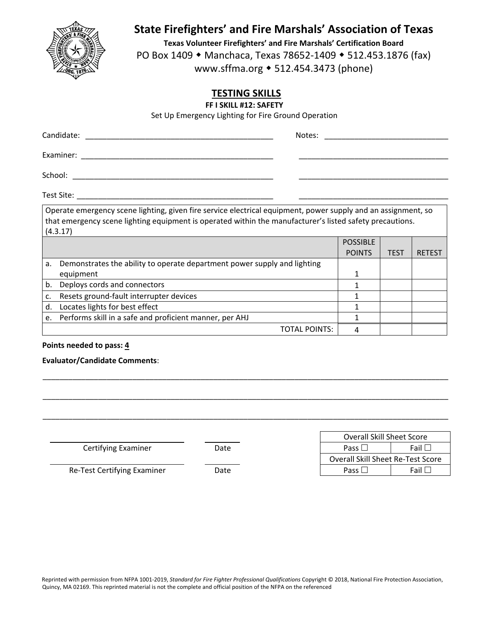

**Texas Volunteer Firefighters' and Fire Marshals' Certification Board** PO Box 1409 • Manchaca, Texas 78652-1409 • 512.453.1876 (fax) www.sffma.org 512.454.3473 (phone)

## **TESTING SKILLS**

**FF I SKILL #12: SAFETY**

Set Up Emergency Lighting for Fire Ground Operation

|             | Candidate:<br>Notes:                                                                                                                                                                                                                  |                 |             |               |
|-------------|---------------------------------------------------------------------------------------------------------------------------------------------------------------------------------------------------------------------------------------|-----------------|-------------|---------------|
|             | Examiner: The contract of the contract of the contract of the contract of the contract of the contract of the contract of the contract of the contract of the contract of the contract of the contract of the contract of the         |                 |             |               |
|             | School:                                                                                                                                                                                                                               |                 |             |               |
|             |                                                                                                                                                                                                                                       |                 |             |               |
|             | Operate emergency scene lighting, given fire service electrical equipment, power supply and an assignment, so<br>that emergency scene lighting equipment is operated within the manufacturer's listed safety precautions.<br>(4.3.17) |                 |             |               |
|             |                                                                                                                                                                                                                                       | <b>POSSIBLE</b> |             |               |
|             |                                                                                                                                                                                                                                       | <b>POINTS</b>   | <b>TEST</b> | <b>RETEST</b> |
| $a_{\cdot}$ | Demonstrates the ability to operate department power supply and lighting                                                                                                                                                              |                 |             |               |
|             | equipment                                                                                                                                                                                                                             | 1               |             |               |
| b.          | Deploys cords and connectors                                                                                                                                                                                                          |                 |             |               |
| c.          | Resets ground-fault interrupter devices                                                                                                                                                                                               |                 |             |               |
| d.          | Locates lights for best effect                                                                                                                                                                                                        |                 |             |               |
|             | e. Performs skill in a safe and proficient manner, per AHJ                                                                                                                                                                            |                 |             |               |
|             | <b>TOTAL POINTS:</b>                                                                                                                                                                                                                  | 4               |             |               |

### **Points needed to pass: 4**

**Evaluator/Candidate Comments**:

|                             |      | <b>Overall Skill Sheet Score</b>         |                |
|-----------------------------|------|------------------------------------------|----------------|
| Certifying Examiner         | Date | Pass $\Box$                              | Fail $\square$ |
|                             |      | <b>Overall Skill Sheet Re-Test Score</b> |                |
| Re-Test Certifying Examiner | Date | Pass $\Box$                              | Fail $\Box$    |
|                             |      |                                          |                |

\_\_\_\_\_\_\_\_\_\_\_\_\_\_\_\_\_\_\_\_\_\_\_\_\_\_\_\_\_\_\_\_\_\_\_\_\_\_\_\_\_\_\_\_\_\_\_\_\_\_\_\_\_\_\_\_\_\_\_\_\_\_\_\_\_\_\_\_\_\_\_\_\_\_\_\_\_\_\_\_\_\_\_\_\_\_\_\_\_\_\_\_\_\_\_

\_\_\_\_\_\_\_\_\_\_\_\_\_\_\_\_\_\_\_\_\_\_\_\_\_\_\_\_\_\_\_\_\_\_\_\_\_\_\_\_\_\_\_\_\_\_\_\_\_\_\_\_\_\_\_\_\_\_\_\_\_\_\_\_\_\_\_\_\_\_\_\_\_\_\_\_\_\_\_\_\_\_\_\_\_\_\_\_\_\_\_\_\_\_\_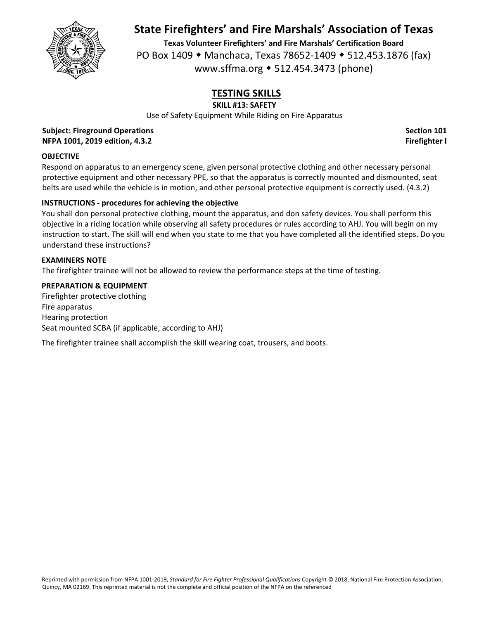![](_page_28_Picture_0.jpeg)

**Texas Volunteer Firefighters' and Fire Marshals' Certification Board** PO Box 1409 • Manchaca, Texas 78652-1409 • 512.453.1876 (fax) www.sffma.org 512.454.3473 (phone)

# **TESTING SKILLS**

**SKILL #13: SAFETY**

Use of Safety Equipment While Riding on Fire Apparatus

## **Subject: Fireground Operations Section 101 NFPA 1001, 2019 edition, 4.3.2 Firefighter I**

## **OBJECTIVE**

Respond on apparatus to an emergency scene, given personal protective clothing and other necessary personal protective equipment and other necessary PPE, so that the apparatus is correctly mounted and dismounted, seat belts are used while the vehicle is in motion, and other personal protective equipment is correctly used. (4.3.2)

## **INSTRUCTIONS ‐ procedures for achieving the objective**

You shall don personal protective clothing, mount the apparatus, and don safety devices. You shall perform this objective in a riding location while observing all safety procedures or rules according to AHJ. You will begin on my instruction to start. The skill will end when you state to me that you have completed all the identified steps. Do you understand these instructions?

#### **EXAMINERS NOTE**

The firefighter trainee will not be allowed to review the performance steps at the time of testing.

#### **PREPARATION & EQUIPMENT**

Firefighter protective clothing Fire apparatus Hearing protection Seat mounted SCBA (if applicable, according to AHJ)

The firefighter trainee shall accomplish the skill wearing coat, trousers, and boots.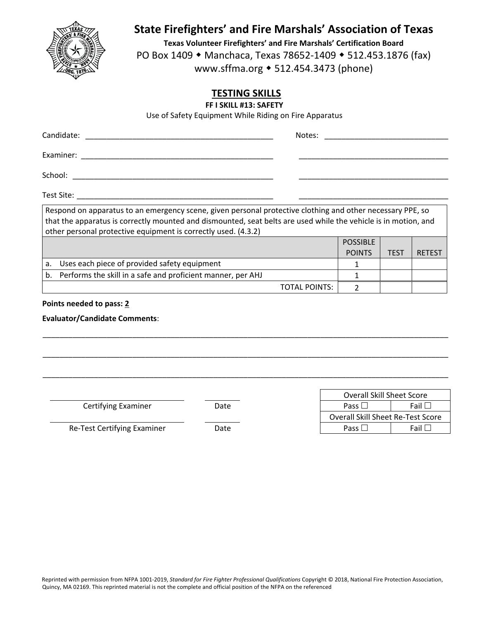![](_page_29_Picture_0.jpeg)

**Texas Volunteer Firefighters' and Fire Marshals' Certification Board** PO Box 1409 • Manchaca, Texas 78652-1409 • 512.453.1876 (fax) www.sffma.org 512.454.3473 (phone)

## **TESTING SKILLS**

**FF I SKILL #13: SAFETY**

Use of Safety Equipment While Riding on Fire Apparatus

|    | Candidate:<br>Notes:                                                                                                                                                                                                                                                                            |                                  |             |               |
|----|-------------------------------------------------------------------------------------------------------------------------------------------------------------------------------------------------------------------------------------------------------------------------------------------------|----------------------------------|-------------|---------------|
|    | Examiner:                                                                                                                                                                                                                                                                                       |                                  |             |               |
|    | School:                                                                                                                                                                                                                                                                                         |                                  |             |               |
|    |                                                                                                                                                                                                                                                                                                 |                                  |             |               |
|    | Respond on apparatus to an emergency scene, given personal protective clothing and other necessary PPE, so<br>that the apparatus is correctly mounted and dismounted, seat belts are used while the vehicle is in motion, and<br>other personal protective equipment is correctly used. (4.3.2) |                                  |             |               |
|    |                                                                                                                                                                                                                                                                                                 | <b>POSSIBLE</b><br><b>POINTS</b> | <b>TEST</b> | <b>RETEST</b> |
| a. | Uses each piece of provided safety equipment                                                                                                                                                                                                                                                    |                                  |             |               |
|    | b. Performs the skill in a safe and proficient manner, per AHJ                                                                                                                                                                                                                                  |                                  |             |               |
|    | TOTAL POINTS:                                                                                                                                                                                                                                                                                   |                                  |             |               |

\_\_\_\_\_\_\_\_\_\_\_\_\_\_\_\_\_\_\_\_\_\_\_\_\_\_\_\_\_\_\_\_\_\_\_\_\_\_\_\_\_\_\_\_\_\_\_\_\_\_\_\_\_\_\_\_\_\_\_\_\_\_\_\_\_\_\_\_\_\_\_\_\_\_\_\_\_\_\_\_\_\_\_\_\_\_\_\_\_\_\_\_\_\_\_

\_\_\_\_\_\_\_\_\_\_\_\_\_\_\_\_\_\_\_\_\_\_\_\_\_\_\_\_\_\_\_\_\_\_\_\_\_\_\_\_\_\_\_\_\_\_\_\_\_\_\_\_\_\_\_\_\_\_\_\_\_\_\_\_\_\_\_\_\_\_\_\_\_\_\_\_\_\_\_\_\_\_\_\_\_\_\_\_\_\_\_\_\_\_\_

\_\_\_\_\_\_\_\_\_\_\_\_\_\_\_\_\_\_\_\_\_\_\_\_\_\_\_\_\_\_\_\_\_\_\_\_\_\_\_\_\_\_\_\_\_\_\_\_\_\_\_\_\_\_\_\_\_\_\_\_\_\_\_\_\_\_\_\_\_\_\_\_\_\_\_\_\_\_\_\_\_\_\_\_\_\_\_\_\_\_\_\_\_\_\_

**Points needed to pass: 2**

**Evaluator/Candidate Comments**:

**Certifying Examiner Date** 

Re‐Test Certifying Examiner Date Pass Fail

|               |      | <b>Overall Skill Sheet Score</b>  |
|---------------|------|-----------------------------------|
| Examiner      | Date | Pass $\Box$<br>Fail L             |
|               |      | Overall Skill Sheet Re-Test Score |
| ying Examiner | Date | Pass L<br>Fail L                  |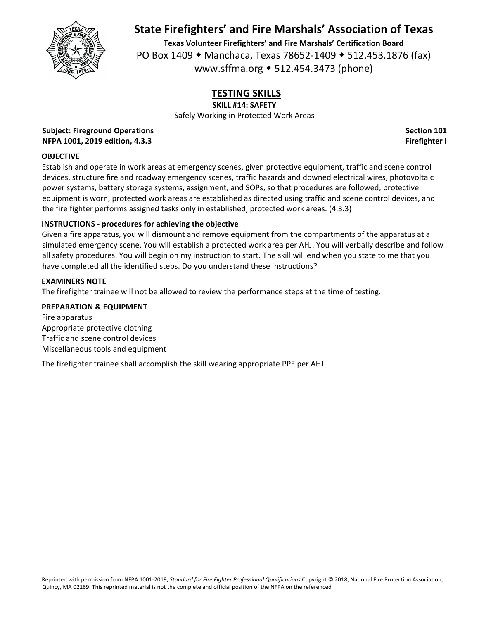![](_page_30_Picture_0.jpeg)

**Texas Volunteer Firefighters' and Fire Marshals' Certification Board** PO Box 1409 • Manchaca, Texas 78652-1409 • 512.453.1876 (fax) www.sffma.org 512.454.3473 (phone)

# **TESTING SKILLS**

**SKILL #14: SAFETY**

Safely Working in Protected Work Areas

**Subject: Fireground Operations Section 101 NFPA 1001, 2019 edition, 4.3.3 Firefighter I**

### **OBJECTIVE**

Establish and operate in work areas at emergency scenes, given protective equipment, traffic and scene control devices, structure fire and roadway emergency scenes, traffic hazards and downed electrical wires, photovoltaic power systems, battery storage systems, assignment, and SOPs, so that procedures are followed, protective equipment is worn, protected work areas are established as directed using traffic and scene control devices, and the fire fighter performs assigned tasks only in established, protected work areas. (4.3.3)

## **INSTRUCTIONS ‐ procedures for achieving the objective**

Given a fire apparatus, you will dismount and remove equipment from the compartments of the apparatus at a simulated emergency scene. You will establish a protected work area per AHJ. You will verbally describe and follow all safety procedures. You will begin on my instruction to start. The skill will end when you state to me that you have completed all the identified steps. Do you understand these instructions?

### **EXAMINERS NOTE**

The firefighter trainee will not be allowed to review the performance steps at the time of testing.

#### **PREPARATION & EQUIPMENT**

Fire apparatus Appropriate protective clothing Traffic and scene control devices Miscellaneous tools and equipment

The firefighter trainee shall accomplish the skill wearing appropriate PPE per AHJ.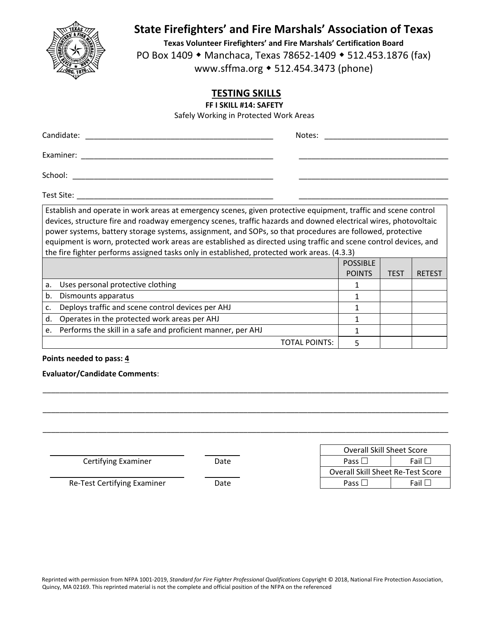![](_page_31_Picture_0.jpeg)

**Texas Volunteer Firefighters' and Fire Marshals' Certification Board** PO Box 1409 • Manchaca, Texas 78652-1409 • 512.453.1876 (fax) www.sffma.org 512.454.3473 (phone)

## **TESTING SKILLS**

**FF I SKILL #14: SAFETY**

Safely Working in Protected Work Areas

| Candidate: | Notes:<br>the control of the control of the control of the control of the control of |
|------------|--------------------------------------------------------------------------------------|
| Examiner:  |                                                                                      |
| School:    |                                                                                      |
| Test Site: |                                                                                      |

Establish and operate in work areas at emergency scenes, given protective equipment, traffic and scene control devices, structure fire and roadway emergency scenes, traffic hazards and downed electrical wires, photovoltaic power systems, battery storage systems, assignment, and SOPs, so that procedures are followed, protective equipment is worn, protected work areas are established as directed using traffic and scene control devices, and the fire fighter performs assigned tasks only in established, protected work areas. (4.3.3)

|    |                                                             | <b>POSSIBLE</b> |             |               |
|----|-------------------------------------------------------------|-----------------|-------------|---------------|
|    |                                                             | <b>POINTS</b>   | <b>TEST</b> | <b>RETEST</b> |
| a. | Uses personal protective clothing                           |                 |             |               |
| b. | Dismounts apparatus                                         |                 |             |               |
|    | Deploys traffic and scene control devices per AHJ           |                 |             |               |
| d. | Operates in the protected work areas per AHJ                |                 |             |               |
| e. | Performs the skill in a safe and proficient manner, per AHJ |                 |             |               |
|    | <b>TOTAL POINTS:</b>                                        |                 |             |               |

**Points needed to pass: 4**

**Evaluator/Candidate Comments**:

|                             |      |                | <b>Overall Skill Sheet Score</b>  |
|-----------------------------|------|----------------|-----------------------------------|
| Certifying Examiner         | Date | Pass $\Box$    | Fail $\Box$                       |
|                             |      |                | Overall Skill Sheet Re-Test Score |
| Re-Test Certifying Examiner | Date | Pass $\square$ | Fail $\Box$                       |

\_\_\_\_\_\_\_\_\_\_\_\_\_\_\_\_\_\_\_\_\_\_\_\_\_\_\_\_\_\_\_\_\_\_\_\_\_\_\_\_\_\_\_\_\_\_\_\_\_\_\_\_\_\_\_\_\_\_\_\_\_\_\_\_\_\_\_\_\_\_\_\_\_\_\_\_\_\_\_\_\_\_\_\_\_\_\_\_\_\_\_\_\_\_\_

\_\_\_\_\_\_\_\_\_\_\_\_\_\_\_\_\_\_\_\_\_\_\_\_\_\_\_\_\_\_\_\_\_\_\_\_\_\_\_\_\_\_\_\_\_\_\_\_\_\_\_\_\_\_\_\_\_\_\_\_\_\_\_\_\_\_\_\_\_\_\_\_\_\_\_\_\_\_\_\_\_\_\_\_\_\_\_\_\_\_\_\_\_\_\_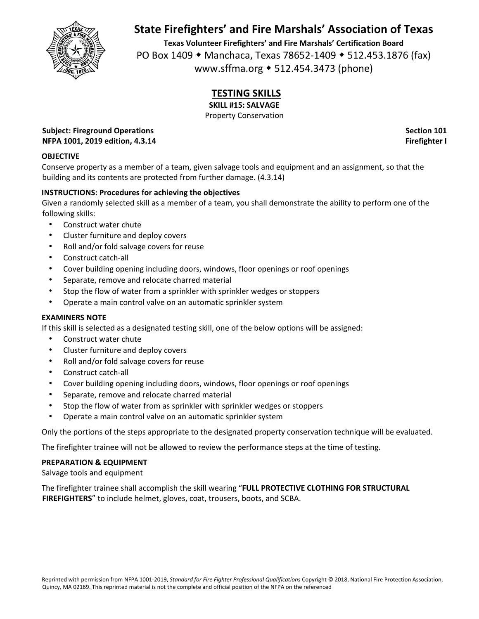![](_page_32_Picture_0.jpeg)

**Texas Volunteer Firefighters' and Fire Marshals' Certification Board** PO Box 1409 • Manchaca, Texas 78652-1409 • 512.453.1876 (fax) www.sffma.org 512.454.3473 (phone)

# **TESTING SKILLS**

**SKILL #15: SALVAGE**

Property Conservation

**Subject: Fireground Operations Section 101 NFPA 1001, 2019 edition, 4.3.14 Firefighter I**

## **OBJECTIVE**

Conserve property as a member of a team, given salvage tools and equipment and an assignment, so that the building and its contents are protected from further damage. (4.3.14)

## **INSTRUCTIONS: Procedures for achieving the objectives**

Given a randomly selected skill as a member of a team, you shall demonstrate the ability to perform one of the following skills:

- Construct water chute
- Cluster furniture and deploy covers
- Roll and/or fold salvage covers for reuse
- Construct catch‐all
- Cover building opening including doors, windows, floor openings or roof openings
- Separate, remove and relocate charred material
- Stop the flow of water from a sprinkler with sprinkler wedges or stoppers
- Operate a main control valve on an automatic sprinkler system

#### **EXAMINERS NOTE**

If this skill is selected as a designated testing skill, one of the below options will be assigned:

- Construct water chute
- Cluster furniture and deploy covers
- Roll and/or fold salvage covers for reuse
- Construct catch‐all
- Cover building opening including doors, windows, floor openings or roof openings
- Separate, remove and relocate charred material
- Stop the flow of water from as sprinkler with sprinkler wedges or stoppers
- Operate a main control valve on an automatic sprinkler system

Only the portions of the steps appropriate to the designated property conservation technique will be evaluated.

The firefighter trainee will not be allowed to review the performance steps at the time of testing.

#### **PREPARATION & EQUIPMENT**

Salvage tools and equipment

The firefighter trainee shall accomplish the skill wearing "**FULL PROTECTIVE CLOTHING FOR STRUCTURAL FIREFIGHTERS**" to include helmet, gloves, coat, trousers, boots, and SCBA.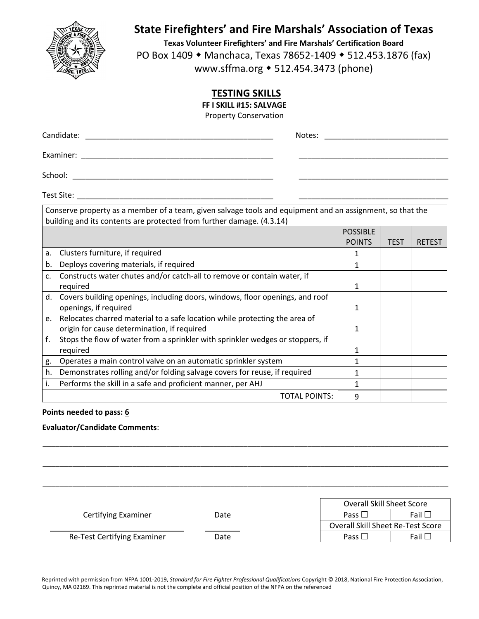![](_page_33_Picture_0.jpeg)

**Texas Volunteer Firefighters' and Fire Marshals' Certification Board** PO Box 1409 • Manchaca, Texas 78652-1409 • 512.453.1876 (fax) www.sffma.org 512.454.3473 (phone)

## **TESTING SKILLS**

**FF I SKILL #15: SALVAGE**

Property Conservation

|                                                                                                                                                                                    | Notes: |                 |             |               |
|------------------------------------------------------------------------------------------------------------------------------------------------------------------------------------|--------|-----------------|-------------|---------------|
| Examiner:                                                                                                                                                                          |        |                 |             |               |
| School:                                                                                                                                                                            |        |                 |             |               |
|                                                                                                                                                                                    |        |                 |             |               |
| Conserve property as a member of a team, given salvage tools and equipment and an assignment, so that the<br>building and its contents are protected from further damage. (4.3.14) |        |                 |             |               |
|                                                                                                                                                                                    |        | <b>POSSIBLE</b> |             |               |
|                                                                                                                                                                                    |        | <b>POINTS</b>   | <b>TEST</b> | <b>RETEST</b> |
| a. Clusters furniture, if required                                                                                                                                                 |        |                 |             |               |
| b. Deploys covering materials, if required                                                                                                                                         |        |                 |             |               |

| b. | Deploys covering materials, if required                                         |   |  |
|----|---------------------------------------------------------------------------------|---|--|
| C. | Constructs water chutes and/or catch-all to remove or contain water, if         |   |  |
|    | required                                                                        |   |  |
|    | d. Covers building openings, including doors, windows, floor openings, and roof |   |  |
|    | openings, if required                                                           |   |  |
|    | e. Relocates charred material to a safe location while protecting the area of   |   |  |
|    | origin for cause determination, if required                                     |   |  |
| f. | Stops the flow of water from a sprinkler with sprinkler wedges or stoppers, if  |   |  |
|    | required                                                                        |   |  |
| g. | Operates a main control valve on an automatic sprinkler system                  |   |  |
| h. | Demonstrates rolling and/or folding salvage covers for reuse, if required       |   |  |
| Τ. | Performs the skill in a safe and proficient manner, per AHJ                     |   |  |
|    | TOTAL POINTS:                                                                   | q |  |

\_\_\_\_\_\_\_\_\_\_\_\_\_\_\_\_\_\_\_\_\_\_\_\_\_\_\_\_\_\_\_\_\_\_\_\_\_\_\_\_\_\_\_\_\_\_\_\_\_\_\_\_\_\_\_\_\_\_\_\_\_\_\_\_\_\_\_\_\_\_\_\_\_\_\_\_\_\_\_\_\_\_\_\_\_\_\_\_\_\_\_\_\_\_\_

\_\_\_\_\_\_\_\_\_\_\_\_\_\_\_\_\_\_\_\_\_\_\_\_\_\_\_\_\_\_\_\_\_\_\_\_\_\_\_\_\_\_\_\_\_\_\_\_\_\_\_\_\_\_\_\_\_\_\_\_\_\_\_\_\_\_\_\_\_\_\_\_\_\_\_\_\_\_\_\_\_\_\_\_\_\_\_\_\_\_\_\_\_\_\_

\_\_\_\_\_\_\_\_\_\_\_\_\_\_\_\_\_\_\_\_\_\_\_\_\_\_\_\_\_\_\_\_\_\_\_\_\_\_\_\_\_\_\_\_\_\_\_\_\_\_\_\_\_\_\_\_\_\_\_\_\_\_\_\_\_\_\_\_\_\_\_\_\_\_\_\_\_\_\_\_\_\_\_\_\_\_\_\_\_\_\_\_\_\_\_

#### **Points needed to pass: 6**

#### **Evaluator/Candidate Comments**:

**Certifying Examiner Date** 

|               |      | <b>Overall Skill Sheet Score</b>  |
|---------------|------|-----------------------------------|
| Examiner      | Date | – Fail ∟<br>Pass L                |
|               |      | Overall Skill Sheet Re-Test Score |
| ying Examiner | Date | – Fail ∟<br>Pass L                |

Re‐Test Certifying Examiner Date Pass Fail

Reprinted with permission from NFPA 1001‐2019, *Standard for Fire Fighter Professional Qualifications* Copyright © 2018, National Fire Protection Association, Quincy, MA 02169. This reprinted material is not the complete and official position of the NFPA on the referenced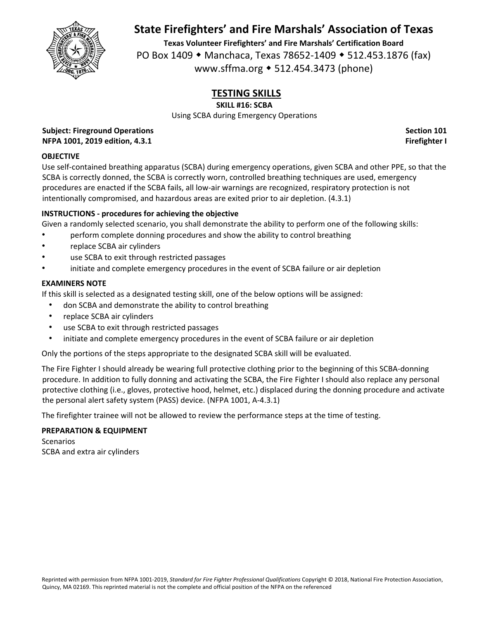![](_page_34_Picture_0.jpeg)

**Texas Volunteer Firefighters' and Fire Marshals' Certification Board** PO Box 1409 • Manchaca, Texas 78652-1409 • 512.453.1876 (fax) www.sffma.org 512.454.3473 (phone)

# **TESTING SKILLS**

**SKILL #16: SCBA**

Using SCBA during Emergency Operations

**Subject: Fireground Operations Section 101 NFPA 1001, 2019 edition, 4.3.1 Firefighter I**

### **OBJECTIVE**

Use self‐contained breathing apparatus (SCBA) during emergency operations, given SCBA and other PPE, so that the SCBA is correctly donned, the SCBA is correctly worn, controlled breathing techniques are used, emergency procedures are enacted if the SCBA fails, all low‐air warnings are recognized, respiratory protection is not intentionally compromised, and hazardous areas are exited prior to air depletion. (4.3.1)

### **INSTRUCTIONS ‐ procedures for achieving the objective**

Given a randomly selected scenario, you shall demonstrate the ability to perform one of the following skills:

- perform complete donning procedures and show the ability to control breathing
- replace SCBA air cylinders
- use SCBA to exit through restricted passages
- initiate and complete emergency procedures in the event of SCBA failure or air depletion

#### **EXAMINERS NOTE**

If this skill is selected as a designated testing skill, one of the below options will be assigned:

- don SCBA and demonstrate the ability to control breathing
- replace SCBA air cylinders
- use SCBA to exit through restricted passages
- initiate and complete emergency procedures in the event of SCBA failure or air depletion

Only the portions of the steps appropriate to the designated SCBA skill will be evaluated.

The Fire Fighter I should already be wearing full protective clothing prior to the beginning of this SCBA‐donning procedure. In addition to fully donning and activating the SCBA, the Fire Fighter I should also replace any personal protective clothing (i.e., gloves, protective hood, helmet, etc.) displaced during the donning procedure and activate the personal alert safety system (PASS) device. (NFPA 1001, A‐4.3.1)

The firefighter trainee will not be allowed to review the performance steps at the time of testing.

#### **PREPARATION & EQUIPMENT**

**Scenarios** SCBA and extra air cylinders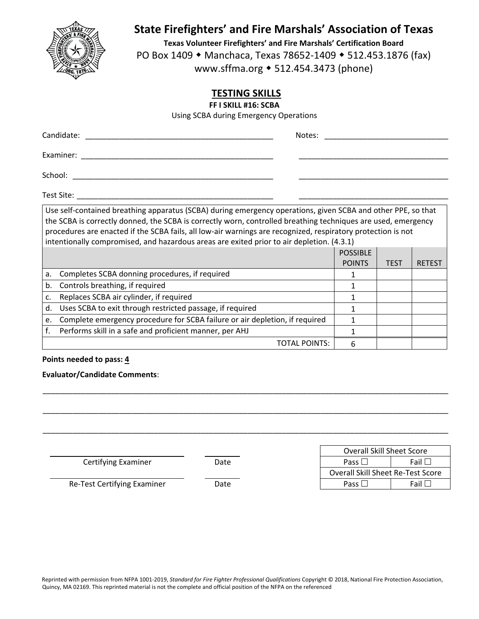![](_page_35_Picture_0.jpeg)

**Texas Volunteer Firefighters' and Fire Marshals' Certification Board** PO Box 1409 • Manchaca, Texas 78652-1409 • 512.453.1876 (fax) www.sffma.org 512.454.3473 (phone)

# **TESTING SKILLS**

**FF I SKILL #16: SCBA**

Using SCBA during Emergency Operations

| Candidate: | Notes: |
|------------|--------|
| Examiner:  |        |
| School:    |        |
| Test Site: |        |

Use self‐contained breathing apparatus (SCBA) during emergency operations, given SCBA and other PPE, so that the SCBA is correctly donned, the SCBA is correctly worn, controlled breathing techniques are used, emergency procedures are enacted if the SCBA fails, all low‐air warnings are recognized, respiratory protection is not intentionally compromised, and hazardous areas are exited prior to air depletion. (4.3.1)

|    |                                                                             | <b>POSSIBLE</b> |             |               |
|----|-----------------------------------------------------------------------------|-----------------|-------------|---------------|
|    |                                                                             | <b>POINTS</b>   | <b>TEST</b> | <b>RETEST</b> |
| a. | Completes SCBA donning procedures, if required                              |                 |             |               |
| b. | Controls breathing, if required                                             |                 |             |               |
| c. | Replaces SCBA air cylinder, if required                                     |                 |             |               |
| d. | Uses SCBA to exit through restricted passage, if required                   |                 |             |               |
| e. | Complete emergency procedure for SCBA failure or air depletion, if required |                 |             |               |
|    | Performs skill in a safe and proficient manner, per AHJ                     |                 |             |               |
|    | TOTAL POINTS:                                                               |                 |             |               |

#### **Points needed to pass: 4**

## **Evaluator/Candidate Comments**:

|                             |      | <b>Overall Skill Sheet Score</b>         |               |
|-----------------------------|------|------------------------------------------|---------------|
| Certifying Examiner         | Date | Pass $\Box$                              | Fail $\Box$   |
|                             |      | <b>Overall Skill Sheet Re-Test Score</b> |               |
| Re-Test Certifying Examiner | Date | Pass L                                   | Fail $\Gamma$ |
|                             |      |                                          |               |

\_\_\_\_\_\_\_\_\_\_\_\_\_\_\_\_\_\_\_\_\_\_\_\_\_\_\_\_\_\_\_\_\_\_\_\_\_\_\_\_\_\_\_\_\_\_\_\_\_\_\_\_\_\_\_\_\_\_\_\_\_\_\_\_\_\_\_\_\_\_\_\_\_\_\_\_\_\_\_\_\_\_\_\_\_\_\_\_\_\_\_\_\_\_\_

\_\_\_\_\_\_\_\_\_\_\_\_\_\_\_\_\_\_\_\_\_\_\_\_\_\_\_\_\_\_\_\_\_\_\_\_\_\_\_\_\_\_\_\_\_\_\_\_\_\_\_\_\_\_\_\_\_\_\_\_\_\_\_\_\_\_\_\_\_\_\_\_\_\_\_\_\_\_\_\_\_\_\_\_\_\_\_\_\_\_\_\_\_\_\_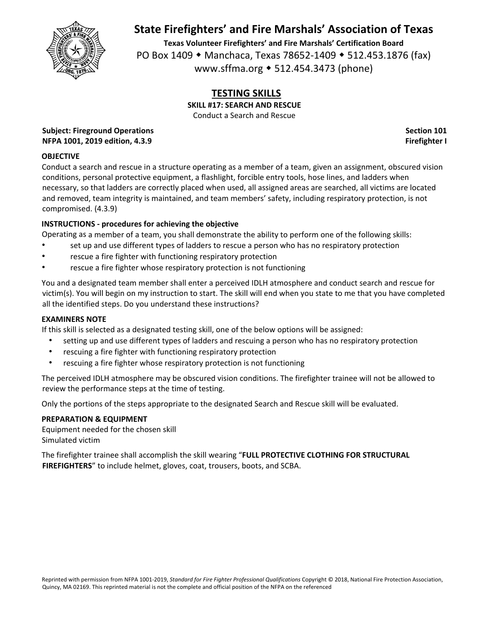![](_page_36_Picture_0.jpeg)

**Texas Volunteer Firefighters' and Fire Marshals' Certification Board** PO Box 1409 • Manchaca, Texas 78652-1409 • 512.453.1876 (fax) www.sffma.org 512.454.3473 (phone)

# **TESTING SKILLS**

**SKILL #17: SEARCH AND RESCUE**

Conduct a Search and Rescue

**Subject: Fireground Operations Section 101 NFPA 1001, 2019 edition, 4.3.9 Firefighter I**

## **OBJECTIVE**

Conduct a search and rescue in a structure operating as a member of a team, given an assignment, obscured vision conditions, personal protective equipment, a flashlight, forcible entry tools, hose lines, and ladders when necessary, so that ladders are correctly placed when used, all assigned areas are searched, all victims are located and removed, team integrity is maintained, and team members' safety, including respiratory protection, is not compromised. (4.3.9)

## **INSTRUCTIONS ‐ procedures for achieving the objective**

Operating as a member of a team, you shall demonstrate the ability to perform one of the following skills:

- set up and use different types of ladders to rescue a person who has no respiratory protection
- rescue a fire fighter with functioning respiratory protection
- rescue a fire fighter whose respiratory protection is not functioning

You and a designated team member shall enter a perceived IDLH atmosphere and conduct search and rescue for victim(s). You will begin on my instruction to start. The skill will end when you state to me that you have completed all the identified steps. Do you understand these instructions?

## **EXAMINERS NOTE**

If this skill is selected as a designated testing skill, one of the below options will be assigned:

- setting up and use different types of ladders and rescuing a person who has no respiratory protection
- rescuing a fire fighter with functioning respiratory protection
- rescuing a fire fighter whose respiratory protection is not functioning

The perceived IDLH atmosphere may be obscured vision conditions. The firefighter trainee will not be allowed to review the performance steps at the time of testing.

Only the portions of the steps appropriate to the designated Search and Rescue skill will be evaluated.

## **PREPARATION & EQUIPMENT**

Equipment needed for the chosen skill Simulated victim

The firefighter trainee shall accomplish the skill wearing "**FULL PROTECTIVE CLOTHING FOR STRUCTURAL FIREFIGHTERS**" to include helmet, gloves, coat, trousers, boots, and SCBA.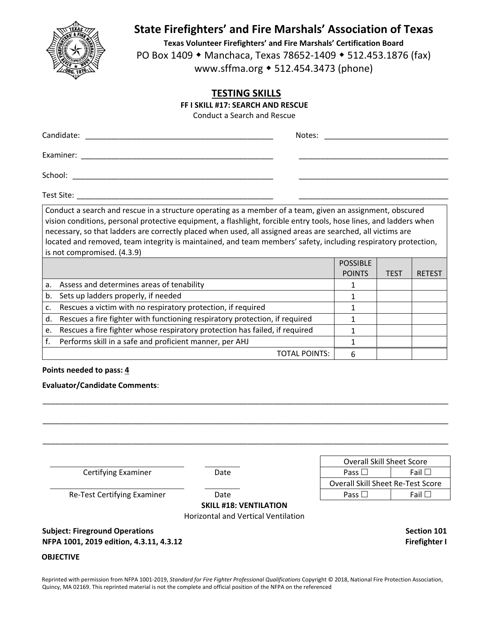![](_page_37_Picture_0.jpeg)

**Texas Volunteer Firefighters' and Fire Marshals' Certification Board** PO Box 1409 • Manchaca, Texas 78652-1409 • 512.453.1876 (fax) www.sffma.org 512.454.3473 (phone)

## **TESTING SKILLS**

**FF I SKILL #17: SEARCH AND RESCUE**

Conduct a Search and Rescue

| Candidate: | Notes: |
|------------|--------|
| Examiner:  |        |
| School:    |        |

Test Site: \_\_\_\_\_\_\_\_\_\_\_\_\_\_\_\_\_\_\_\_\_\_\_\_\_\_\_\_\_\_\_\_\_\_\_\_\_\_\_\_\_\_\_\_\_\_ \_\_\_\_\_\_\_\_\_\_\_\_\_\_\_\_\_\_\_\_\_\_\_\_\_\_\_\_\_\_\_\_\_\_\_

Conduct a search and rescue in a structure operating as a member of a team, given an assignment, obscured vision conditions, personal protective equipment, a flashlight, forcible entry tools, hose lines, and ladders when necessary, so that ladders are correctly placed when used, all assigned areas are searched, all victims are located and removed, team integrity is maintained, and team members' safety, including respiratory protection, is not compromised. (4.3.9)

|    |                                                                             | <b>POSSIBLE</b> |             |               |
|----|-----------------------------------------------------------------------------|-----------------|-------------|---------------|
|    |                                                                             | <b>POINTS</b>   | <b>TEST</b> | <b>RETEST</b> |
|    | a. Assess and determines areas of tenability                                |                 |             |               |
| b. | Sets up ladders properly, if needed                                         |                 |             |               |
|    | Rescues a victim with no respiratory protection, if required                |                 |             |               |
| d. | Rescues a fire fighter with functioning respiratory protection, if required |                 |             |               |
| e. | Rescues a fire fighter whose respiratory protection has failed, if required |                 |             |               |
|    | Performs skill in a safe and proficient manner, per AHJ                     |                 |             |               |
|    | TOTAL POINTS:                                                               |                 |             |               |

#### **Points needed to pass: 4**

#### **Evaluator/Candidate Comments**:

|                                                                                  |                                            | <b>Overall Skill Sheet Score</b>         |                                     |
|----------------------------------------------------------------------------------|--------------------------------------------|------------------------------------------|-------------------------------------|
| Certifying Examiner                                                              | Date                                       | Pass $\Box$                              | Fail $\square$                      |
|                                                                                  |                                            | <b>Overall Skill Sheet Re-Test Score</b> |                                     |
| Re-Test Certifying Examiner                                                      | Date                                       | Pass $\Box$                              | Fail $\square$                      |
|                                                                                  | <b>SKILL #18: VENTILATION</b>              |                                          |                                     |
|                                                                                  | <b>Horizontal and Vertical Ventilation</b> |                                          |                                     |
| <b>Subject: Fireground Operations</b><br>NFPA 1001, 2019 edition, 4.3.11, 4.3.12 |                                            |                                          | Section 101<br><b>Firefighter I</b> |

\_\_\_\_\_\_\_\_\_\_\_\_\_\_\_\_\_\_\_\_\_\_\_\_\_\_\_\_\_\_\_\_\_\_\_\_\_\_\_\_\_\_\_\_\_\_\_\_\_\_\_\_\_\_\_\_\_\_\_\_\_\_\_\_\_\_\_\_\_\_\_\_\_\_\_\_\_\_\_\_\_\_\_\_\_\_\_\_\_\_\_\_\_\_\_

**OBJECTIVE**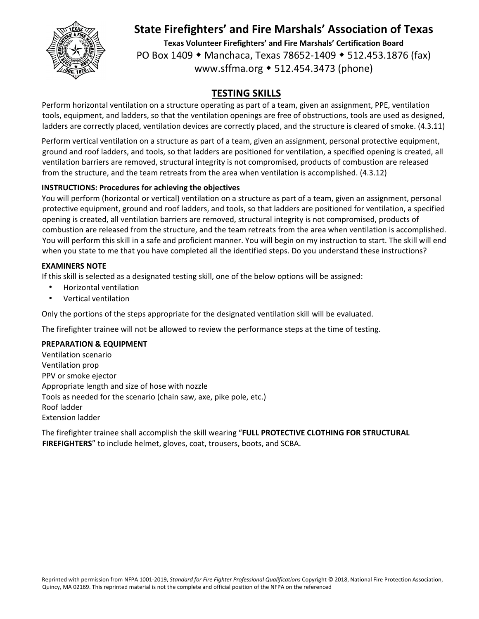![](_page_38_Picture_0.jpeg)

**Texas Volunteer Firefighters' and Fire Marshals' Certification Board** PO Box 1409 • Manchaca, Texas 78652-1409 • 512.453.1876 (fax) www.sffma.org 512.454.3473 (phone)

# **TESTING SKILLS**

Perform horizontal ventilation on a structure operating as part of a team, given an assignment, PPE, ventilation tools, equipment, and ladders, so that the ventilation openings are free of obstructions, tools are used as designed, ladders are correctly placed, ventilation devices are correctly placed, and the structure is cleared of smoke. (4.3.11)

Perform vertical ventilation on a structure as part of a team, given an assignment, personal protective equipment, ground and roof ladders, and tools, so that ladders are positioned for ventilation, a specified opening is created, all ventilation barriers are removed, structural integrity is not compromised, products of combustion are released from the structure, and the team retreats from the area when ventilation is accomplished. (4.3.12)

## **INSTRUCTIONS: Procedures for achieving the objectives**

You will perform (horizontal or vertical) ventilation on a structure as part of a team, given an assignment, personal protective equipment, ground and roof ladders, and tools, so that ladders are positioned for ventilation, a specified opening is created, all ventilation barriers are removed, structural integrity is not compromised, products of combustion are released from the structure, and the team retreats from the area when ventilation is accomplished. You will perform this skill in a safe and proficient manner. You will begin on my instruction to start. The skill will end when you state to me that you have completed all the identified steps. Do you understand these instructions?

## **EXAMINERS NOTE**

If this skill is selected as a designated testing skill, one of the below options will be assigned:

- Horizontal ventilation
- Vertical ventilation

Only the portions of the steps appropriate for the designated ventilation skill will be evaluated.

The firefighter trainee will not be allowed to review the performance steps at the time of testing.

## **PREPARATION & EQUIPMENT**

Ventilation scenario Ventilation prop PPV or smoke ejector Appropriate length and size of hose with nozzle Tools as needed for the scenario (chain saw, axe, pike pole, etc.) Roof ladder Extension ladder

The firefighter trainee shall accomplish the skill wearing "**FULL PROTECTIVE CLOTHING FOR STRUCTURAL FIREFIGHTERS**" to include helmet, gloves, coat, trousers, boots, and SCBA.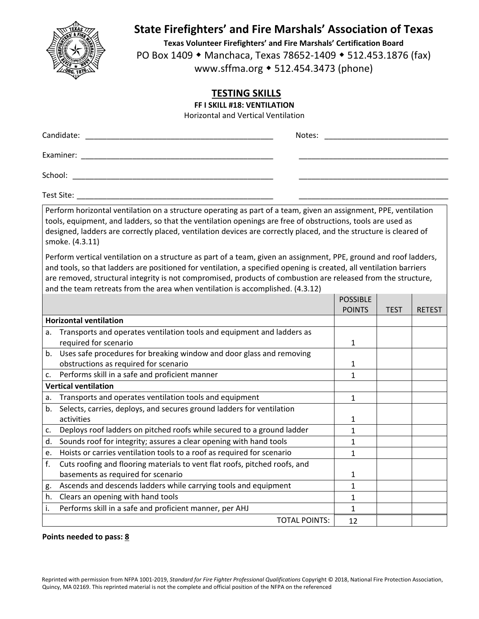![](_page_39_Picture_0.jpeg)

**Texas Volunteer Firefighters' and Fire Marshals' Certification Board** PO Box 1409 • Manchaca, Texas 78652-1409 • 512.453.1876 (fax) www.sffma.org 512.454.3473 (phone)

## **TESTING SKILLS**

**FF I SKILL #18: VENTILATION**

Horizontal and Vertical Ventilation

| Candidate:<br><u> 1980 - Jan Barat, margaret al II-lea (b. 1980)</u> | Notes: |
|----------------------------------------------------------------------|--------|
| Examiner:                                                            |        |
| School:                                                              |        |
| Test Site:                                                           |        |

Perform horizontal ventilation on a structure operating as part of a team, given an assignment, PPE, ventilation tools, equipment, and ladders, so that the ventilation openings are free of obstructions, tools are used as designed, ladders are correctly placed, ventilation devices are correctly placed, and the structure is cleared of smoke. (4.3.11)

Perform vertical ventilation on a structure as part of a team, given an assignment, PPE, ground and roof ladders, and tools, so that ladders are positioned for ventilation, a specified opening is created, all ventilation barriers are removed, structural integrity is not compromised, products of combustion are released from the structure, and the team retreats from the area when ventilation is accomplished. (4.3.12)

|                |                                                                            | <b>POSSIBLE</b> |             |               |
|----------------|----------------------------------------------------------------------------|-----------------|-------------|---------------|
|                |                                                                            | <b>POINTS</b>   | <b>TEST</b> | <b>RETEST</b> |
|                | <b>Horizontal ventilation</b>                                              |                 |             |               |
| a.             | Transports and operates ventilation tools and equipment and ladders as     |                 |             |               |
|                | required for scenario                                                      | 1               |             |               |
| b.             | Uses safe procedures for breaking window and door glass and removing       |                 |             |               |
|                | obstructions as required for scenario                                      | 1               |             |               |
| $\mathsf{c}$ . | Performs skill in a safe and proficient manner                             | 1               |             |               |
|                | <b>Vertical ventilation</b>                                                |                 |             |               |
| a.             | Transports and operates ventilation tools and equipment                    | 1               |             |               |
| b.             | Selects, carries, deploys, and secures ground ladders for ventilation      |                 |             |               |
|                | activities                                                                 | 1               |             |               |
| c.             | Deploys roof ladders on pitched roofs while secured to a ground ladder     | 1               |             |               |
| d.             | Sounds roof for integrity; assures a clear opening with hand tools         |                 |             |               |
| e.             | Hoists or carries ventilation tools to a roof as required for scenario     |                 |             |               |
| f.             | Cuts roofing and flooring materials to vent flat roofs, pitched roofs, and |                 |             |               |
|                | basements as required for scenario                                         | 1               |             |               |
| g.             | Ascends and descends ladders while carrying tools and equipment            | 1               |             |               |
| h.             | Clears an opening with hand tools                                          |                 |             |               |
| Τ.             | Performs skill in a safe and proficient manner, per AHJ                    |                 |             |               |
|                | <b>TOTAL POINTS:</b>                                                       | 12              |             |               |

#### **Points needed to pass: 8**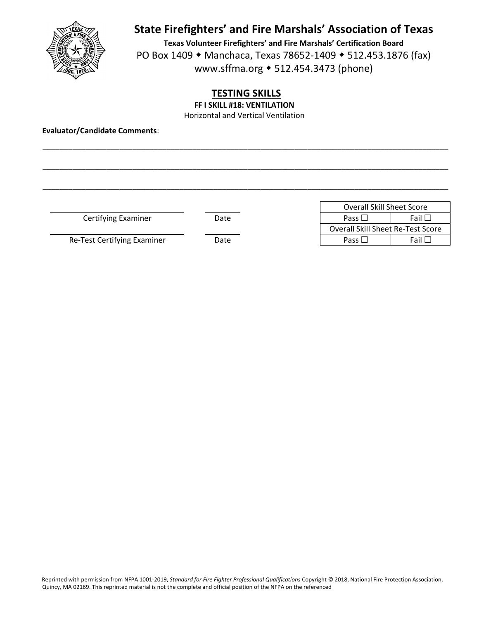![](_page_40_Picture_0.jpeg)

**Texas Volunteer Firefighters' and Fire Marshals' Certification Board** PO Box 1409 • Manchaca, Texas 78652-1409 • 512.453.1876 (fax) www.sffma.org 512.454.3473 (phone)

## **TESTING SKILLS**

**FF I SKILL #18: VENTILATION**

Horizontal and Vertical Ventilation

\_\_\_\_\_\_\_\_\_\_\_\_\_\_\_\_\_\_\_\_\_\_\_\_\_\_\_\_\_\_\_\_\_\_\_\_\_\_\_\_\_\_\_\_\_\_\_\_\_\_\_\_\_\_\_\_\_\_\_\_\_\_\_\_\_\_\_\_\_\_\_\_\_\_\_\_\_\_\_\_\_\_\_\_\_\_\_\_\_\_\_\_\_\_\_

\_\_\_\_\_\_\_\_\_\_\_\_\_\_\_\_\_\_\_\_\_\_\_\_\_\_\_\_\_\_\_\_\_\_\_\_\_\_\_\_\_\_\_\_\_\_\_\_\_\_\_\_\_\_\_\_\_\_\_\_\_\_\_\_\_\_\_\_\_\_\_\_\_\_\_\_\_\_\_\_\_\_\_\_\_\_\_\_\_\_\_\_\_\_\_

\_\_\_\_\_\_\_\_\_\_\_\_\_\_\_\_\_\_\_\_\_\_\_\_\_\_\_\_\_\_\_\_\_\_\_\_\_\_\_\_\_\_\_\_\_\_\_\_\_\_\_\_\_\_\_\_\_\_\_\_\_\_\_\_\_\_\_\_\_\_\_\_\_\_\_\_\_\_\_\_\_\_\_\_\_\_\_\_\_\_\_\_\_\_\_

**Evaluator/Candidate Comments**:

**Certifying Examiner Date** 

Re‐Test Certifying Examiner Date Pass Fail

|               |      | <b>Overall Skill Sheet Score</b>  |
|---------------|------|-----------------------------------|
| Examiner      | Date | Fail L<br>Pass L                  |
|               |      | Overall Skill Sheet Re-Test Score |
| ying Examiner | Date | Fail L<br>Pass $\Box$             |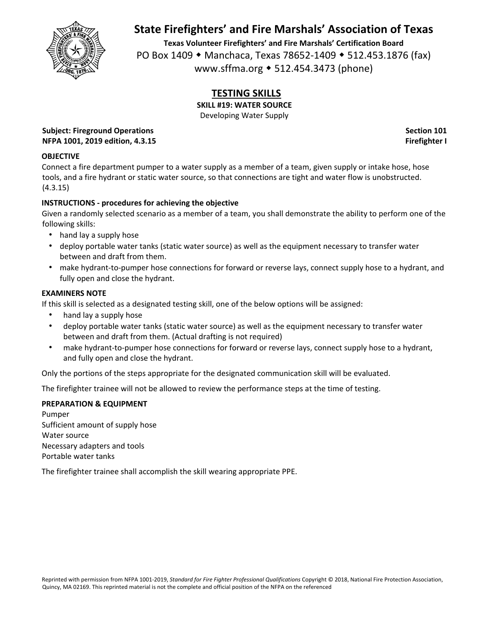![](_page_42_Picture_0.jpeg)

**Texas Volunteer Firefighters' and Fire Marshals' Certification Board** PO Box 1409 • Manchaca, Texas 78652-1409 • 512.453.1876 (fax) www.sffma.org 512.454.3473 (phone)

## **TESTING SKILLS**

**SKILL #19: WATER SOURCE**

Developing Water Supply

**Subject: Fireground Operations Section 101 NFPA 1001, 2019 edition, 4.3.15 Firefighter I**

## **OBJECTIVE**

Connect a fire department pumper to a water supply as a member of a team, given supply or intake hose, hose tools, and a fire hydrant or static water source, so that connections are tight and water flow is unobstructed. (4.3.15)

## **INSTRUCTIONS ‐ procedures for achieving the objective**

Given a randomly selected scenario as a member of a team, you shall demonstrate the ability to perform one of the following skills:

- hand lay a supply hose
- deploy portable water tanks (static water source) as well as the equipment necessary to transfer water between and draft from them.
- make hydrant-to-pumper hose connections for forward or reverse lays, connect supply hose to a hydrant, and fully open and close the hydrant.

## **EXAMINERS NOTE**

If this skill is selected as a designated testing skill, one of the below options will be assigned:

- hand lay a supply hose
- deploy portable water tanks (static water source) as well as the equipment necessary to transfer water between and draft from them. (Actual drafting is not required)
- make hydrant-to-pumper hose connections for forward or reverse lays, connect supply hose to a hydrant, and fully open and close the hydrant.

Only the portions of the steps appropriate for the designated communication skill will be evaluated.

The firefighter trainee will not be allowed to review the performance steps at the time of testing.

## **PREPARATION & EQUIPMENT**

Pumper Sufficient amount of supply hose Water source Necessary adapters and tools Portable water tanks

The firefighter trainee shall accomplish the skill wearing appropriate PPE.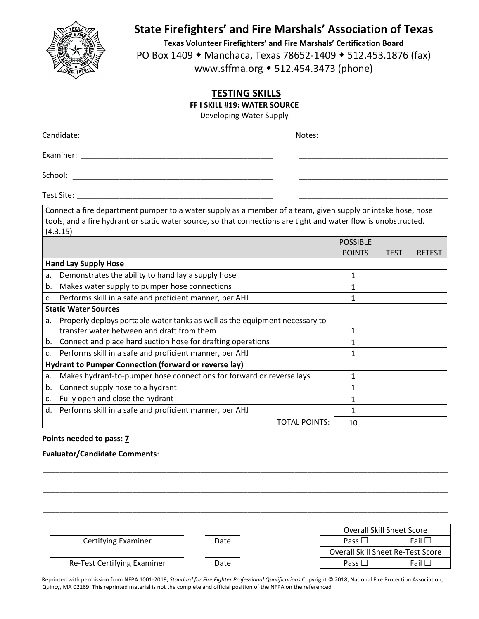![](_page_43_Picture_0.jpeg)

**Texas Volunteer Firefighters' and Fire Marshals' Certification Board** PO Box 1409 • Manchaca, Texas 78652-1409 • 512.453.1876 (fax) www.sffma.org 512.454.3473 (phone)

## **TESTING SKILLS**

**FF I SKILL #19: WATER SOURCE**

Developing Water Supply

| Candidate: | Notes: |
|------------|--------|
| Examiner:  |        |
| School:    |        |
| Test Site: |        |

Connect a fire department pumper to a water supply as a member of a team, given supply or intake hose, hose tools, and a fire hydrant or static water source, so that connections are tight and water flow is unobstructed. (4.3.15)

|    |                                                                             | <b>POSSIBLE</b><br><b>POINTS</b> | <b>TEST</b> | <b>RETEST</b> |
|----|-----------------------------------------------------------------------------|----------------------------------|-------------|---------------|
|    | <b>Hand Lay Supply Hose</b>                                                 |                                  |             |               |
| a. | Demonstrates the ability to hand lay a supply hose                          |                                  |             |               |
| b. | Makes water supply to pumper hose connections                               |                                  |             |               |
| c. | Performs skill in a safe and proficient manner, per AHJ                     | 1                                |             |               |
|    | <b>Static Water Sources</b>                                                 |                                  |             |               |
| a. | Properly deploys portable water tanks as well as the equipment necessary to |                                  |             |               |
|    | transfer water between and draft from them                                  |                                  |             |               |
| b. | Connect and place hard suction hose for drafting operations                 |                                  |             |               |
| c. | Performs skill in a safe and proficient manner, per AHJ                     | 1                                |             |               |
|    | Hydrant to Pumper Connection (forward or reverse lay)                       |                                  |             |               |
| a. | Makes hydrant-to-pumper hose connections for forward or reverse lays        | 1                                |             |               |
| b. | Connect supply hose to a hydrant                                            |                                  |             |               |
| c. | Fully open and close the hydrant                                            |                                  |             |               |
| d. | Performs skill in a safe and proficient manner, per AHJ                     |                                  |             |               |
|    | TOTAL POINTS:                                                               | 10                               |             |               |

#### **Points needed to pass: 7**

**Evaluator/Candidate Comments**:

|                             |      | <b>Overall Skill Sheet Score</b>         |                |
|-----------------------------|------|------------------------------------------|----------------|
| Certifying Examiner         | Date | Pass $\Box$                              | Fail $\square$ |
|                             |      | <b>Overall Skill Sheet Re-Test Score</b> |                |
| Re-Test Certifying Examiner | Date | Pass $\square$                           | Fail $\square$ |

\_\_\_\_\_\_\_\_\_\_\_\_\_\_\_\_\_\_\_\_\_\_\_\_\_\_\_\_\_\_\_\_\_\_\_\_\_\_\_\_\_\_\_\_\_\_\_\_\_\_\_\_\_\_\_\_\_\_\_\_\_\_\_\_\_\_\_\_\_\_\_\_\_\_\_\_\_\_\_\_\_\_\_\_\_\_\_\_\_\_\_\_\_\_\_

\_\_\_\_\_\_\_\_\_\_\_\_\_\_\_\_\_\_\_\_\_\_\_\_\_\_\_\_\_\_\_\_\_\_\_\_\_\_\_\_\_\_\_\_\_\_\_\_\_\_\_\_\_\_\_\_\_\_\_\_\_\_\_\_\_\_\_\_\_\_\_\_\_\_\_\_\_\_\_\_\_\_\_\_\_\_\_\_\_\_\_\_\_\_\_

Reprinted with permission from NFPA 1001‐2019, *Standard for Fire Fighter Professional Qualifications* Copyright © 2018, National Fire Protection Association, Quincy, MA 02169. This reprinted material is not the complete and official position of the NFPA on the referenced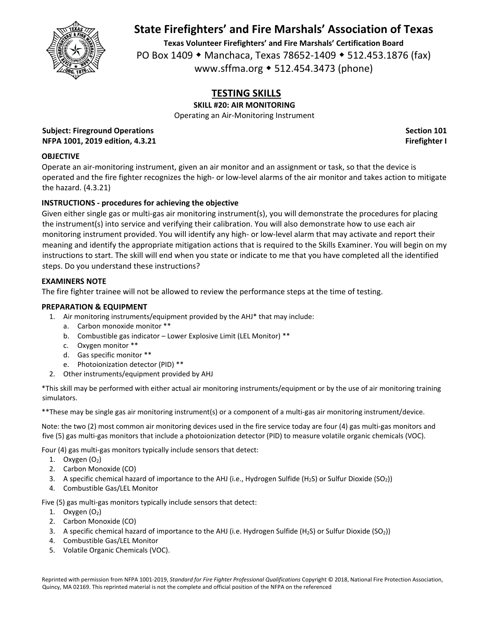![](_page_44_Picture_0.jpeg)

**Texas Volunteer Firefighters' and Fire Marshals' Certification Board** PO Box 1409 • Manchaca, Texas 78652-1409 • 512.453.1876 (fax) www.sffma.org 512.454.3473 (phone)

# **TESTING SKILLS**

**SKILL #20: AIR MONITORING**

Operating an Air‐Monitoring Instrument

**Subject: Fireground Operations Section 101 NFPA 1001, 2019 edition, 4.3.21 Firefighter I**

## **OBJECTIVE**

Operate an air‐monitoring instrument, given an air monitor and an assignment or task, so that the device is operated and the fire fighter recognizes the high‐ or low‐level alarms of the air monitor and takes action to mitigate the hazard. (4.3.21)

## **INSTRUCTIONS ‐ procedures for achieving the objective**

Given either single gas or multi‐gas air monitoring instrument(s), you will demonstrate the procedures for placing the instrument(s) into service and verifying their calibration. You will also demonstrate how to use each air monitoring instrument provided. You will identify any high‐ or low‐level alarm that may activate and report their meaning and identify the appropriate mitigation actions that is required to the Skills Examiner. You will begin on my instructions to start. The skill will end when you state or indicate to me that you have completed all the identified steps. Do you understand these instructions?

## **EXAMINERS NOTE**

The fire fighter trainee will not be allowed to review the performance steps at the time of testing.

## **PREPARATION & EQUIPMENT**

- 1. Air monitoring instruments/equipment provided by the AHJ\* that may include:
	- a. Carbon monoxide monitor \*\*
	- b. Combustible gas indicator Lower Explosive Limit (LEL Monitor) \*\*
	- c. Oxygen monitor \*\*
	- d. Gas specific monitor \*\*
	- e. Photoionization detector (PID) \*\*
- 2. Other instruments/equipment provided by AHJ

\*This skill may be performed with either actual air monitoring instruments/equipment or by the use of air monitoring training simulators.

\*\*These may be single gas air monitoring instrument(s) or a component of a multi-gas air monitoring instrument/device.

Note: the two (2) most common air monitoring devices used in the fire service today are four (4) gas multi‐gas monitors and five (5) gas multi‐gas monitors that include a photoionization detector (PID) to measure volatile organic chemicals (VOC).

Four (4) gas multi-gas monitors typically include sensors that detect:

- 1. Oxygen  $(O_2)$
- 2. Carbon Monoxide (CO)
- 3. A specific chemical hazard of importance to the AHJ (i.e., Hydrogen Sulfide (H2S) or Sulfur Dioxide (SO2))
- 4. Combustible Gas/LEL Monitor

Five (5) gas multi-gas monitors typically include sensors that detect:

- 1. Oxygen  $(O_2)$
- 2. Carbon Monoxide (CO)
- 3. A specific chemical hazard of importance to the AHJ (i.e. Hydrogen Sulfide (H2S) or Sulfur Dioxide (SO2))
- 4. Combustible Gas/LEL Monitor
- 5. Volatile Organic Chemicals (VOC).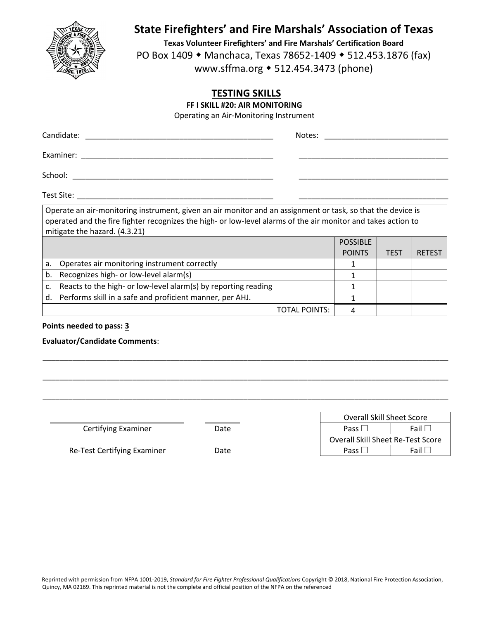![](_page_45_Picture_0.jpeg)

**Texas Volunteer Firefighters' and Fire Marshals' Certification Board** PO Box 1409 ◆ Manchaca, Texas 78652-1409 ◆ 512.453.1876 (fax) www.sffma.org 512.454.3473 (phone)

## **TESTING SKILLS**

**FF I SKILL #20: AIR MONITORING**

Operating an Air‐Monitoring Instrument

| Operate an air-monitoring instrument, given an air monitor and an assignment or task, so that the device is<br>operated and the fire fighter recognizes the high- or low-level alarms of the air monitor and takes action to |  |
|------------------------------------------------------------------------------------------------------------------------------------------------------------------------------------------------------------------------------|--|

|    | mitigate the hazard. (4.3.21)                                  |                 |             |               |  |  |
|----|----------------------------------------------------------------|-----------------|-------------|---------------|--|--|
|    |                                                                | <b>POSSIBLE</b> |             |               |  |  |
|    |                                                                | <b>POINTS</b>   | <b>TEST</b> | <b>RETEST</b> |  |  |
| a. | Operates air monitoring instrument correctly                   |                 |             |               |  |  |
| b. | Recognizes high- or low-level alarm(s)                         |                 |             |               |  |  |
| c. | Reacts to the high- or low-level alarm(s) by reporting reading |                 |             |               |  |  |
| d. | Performs skill in a safe and proficient manner, per AHJ.       |                 |             |               |  |  |
|    | <b>TOTAL POINTS:</b>                                           |                 |             |               |  |  |

\_\_\_\_\_\_\_\_\_\_\_\_\_\_\_\_\_\_\_\_\_\_\_\_\_\_\_\_\_\_\_\_\_\_\_\_\_\_\_\_\_\_\_\_\_\_\_\_\_\_\_\_\_\_\_\_\_\_\_\_\_\_\_\_\_\_\_\_\_\_\_\_\_\_\_\_\_\_\_\_\_\_\_\_\_\_\_\_\_\_\_\_\_\_\_

\_\_\_\_\_\_\_\_\_\_\_\_\_\_\_\_\_\_\_\_\_\_\_\_\_\_\_\_\_\_\_\_\_\_\_\_\_\_\_\_\_\_\_\_\_\_\_\_\_\_\_\_\_\_\_\_\_\_\_\_\_\_\_\_\_\_\_\_\_\_\_\_\_\_\_\_\_\_\_\_\_\_\_\_\_\_\_\_\_\_\_\_\_\_\_

\_\_\_\_\_\_\_\_\_\_\_\_\_\_\_\_\_\_\_\_\_\_\_\_\_\_\_\_\_\_\_\_\_\_\_\_\_\_\_\_\_\_\_\_\_\_\_\_\_\_\_\_\_\_\_\_\_\_\_\_\_\_\_\_\_\_\_\_\_\_\_\_\_\_\_\_\_\_\_\_\_\_\_\_\_\_\_\_\_\_\_\_\_\_\_

#### **Points needed to pass: 3**

**Evaluator/Candidate Comments**:

**Certifying Examiner Date** 

|               |      | <b>Overall Skill Sheet Score</b>  |
|---------------|------|-----------------------------------|
| Examiner      | Date | Fail<br>Pass $\Box$               |
|               |      | Overall Skill Sheet Re-Test Score |
| ying Examiner | Date | Fail L<br>Pass $\square$          |

Re‐Test Certifying Examiner Date Pass Fail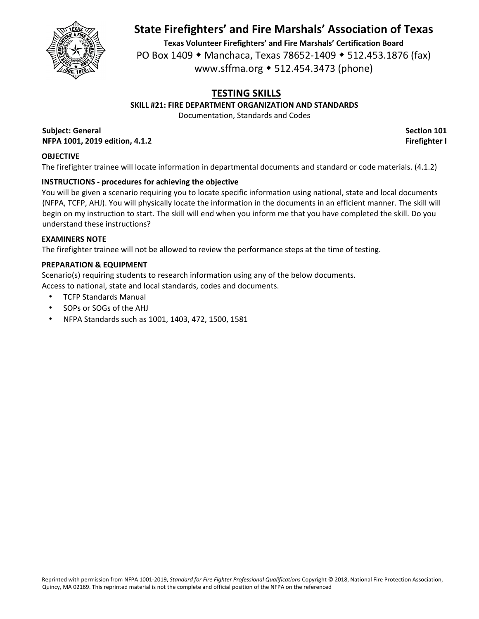![](_page_46_Picture_0.jpeg)

**Texas Volunteer Firefighters' and Fire Marshals' Certification Board** PO Box 1409 • Manchaca, Texas 78652-1409 • 512.453.1876 (fax) www.sffma.org 512.454.3473 (phone)

# **TESTING SKILLS**

**SKILL #21: FIRE DEPARTMENT ORGANIZATION AND STANDARDS**

Documentation, Standards and Codes

**Subject: General Section 101 NFPA 1001, 2019 edition, 4.1.2 Firefighter I**

### **OBJECTIVE**

The firefighter trainee will locate information in departmental documents and standard or code materials. (4.1.2)

## **INSTRUCTIONS ‐ procedures for achieving the objective**

You will be given a scenario requiring you to locate specific information using national, state and local documents (NFPA, TCFP, AHJ). You will physically locate the information in the documents in an efficient manner. The skill will begin on my instruction to start. The skill will end when you inform me that you have completed the skill. Do you understand these instructions?

#### **EXAMINERS NOTE**

The firefighter trainee will not be allowed to review the performance steps at the time of testing.

### **PREPARATION & EQUIPMENT**

Scenario(s) requiring students to research information using any of the below documents.

Access to national, state and local standards, codes and documents.

- TCFP Standards Manual
- SOPs or SOGs of the AHJ
- NFPA Standards such as 1001, 1403, 472, 1500, 1581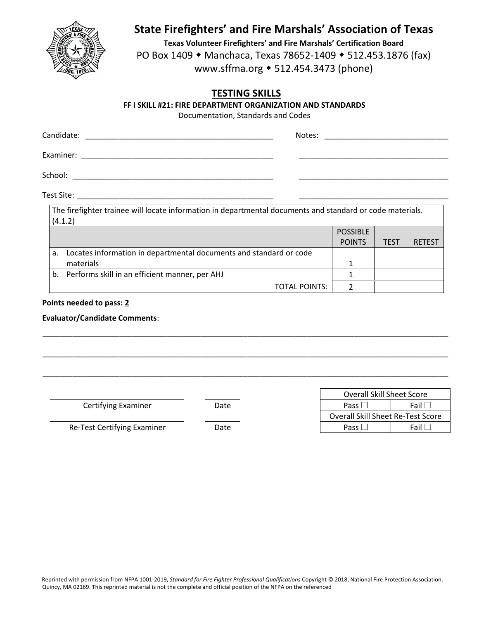![](_page_47_Picture_0.jpeg)

**Texas Volunteer Firefighters' and Fire Marshals' Certification Board** PO Box 1409 • Manchaca, Texas 78652-1409 • 512.453.1876 (fax)

www.sffma.org 512.454.3473 (phone)

## **TESTING SKILLS**

**FF I SKILL #21: FIRE DEPARTMENT ORGANIZATION AND STANDARDS**

Documentation, Standards and Codes

| Candidate: | Notes:<br>the control of the control of the control of the control of the control of the control of |
|------------|-----------------------------------------------------------------------------------------------------|
| Examiner:  |                                                                                                     |
| School:    |                                                                                                     |
| Test Site: |                                                                                                     |

|    | The firefighter trainee will locate information in departmental documents and standard or code materials.<br>(4.1.2) |                 |             |               |
|----|----------------------------------------------------------------------------------------------------------------------|-----------------|-------------|---------------|
|    |                                                                                                                      | <b>POSSIBLE</b> |             |               |
|    |                                                                                                                      | <b>POINTS</b>   | <b>TEST</b> | <b>RETEST</b> |
| а. | Locates information in departmental documents and standard or code                                                   |                 |             |               |
|    | materials                                                                                                            |                 |             |               |
|    | b. Performs skill in an efficient manner, per AHJ                                                                    |                 |             |               |
|    | TOTAL POINTS:                                                                                                        |                 |             |               |

\_\_\_\_\_\_\_\_\_\_\_\_\_\_\_\_\_\_\_\_\_\_\_\_\_\_\_\_\_\_\_\_\_\_\_\_\_\_\_\_\_\_\_\_\_\_\_\_\_\_\_\_\_\_\_\_\_\_\_\_\_\_\_\_\_\_\_\_\_\_\_\_\_\_\_\_\_\_\_\_\_\_\_\_\_\_\_\_\_\_\_\_\_\_\_

\_\_\_\_\_\_\_\_\_\_\_\_\_\_\_\_\_\_\_\_\_\_\_\_\_\_\_\_\_\_\_\_\_\_\_\_\_\_\_\_\_\_\_\_\_\_\_\_\_\_\_\_\_\_\_\_\_\_\_\_\_\_\_\_\_\_\_\_\_\_\_\_\_\_\_\_\_\_\_\_\_\_\_\_\_\_\_\_\_\_\_\_\_\_\_

\_\_\_\_\_\_\_\_\_\_\_\_\_\_\_\_\_\_\_\_\_\_\_\_\_\_\_\_\_\_\_\_\_\_\_\_\_\_\_\_\_\_\_\_\_\_\_\_\_\_\_\_\_\_\_\_\_\_\_\_\_\_\_\_\_\_\_\_\_\_\_\_\_\_\_\_\_\_\_\_\_\_\_\_\_\_\_\_\_\_\_\_\_\_\_

#### **Points needed to pass: 2**

**Evaluator/Candidate Comments**:

**Certifying Examiner Date** 

Re‐Test Certifying Examiner Date Pass Fail

|               |      | <b>Overall Skill Sheet Score</b>  |
|---------------|------|-----------------------------------|
| Examiner      | Date | Pass L<br>Fail L                  |
|               |      | Overall Skill Sheet Re-Test Score |
| ying Examiner | Date | Pass $\Box$<br>Fail L             |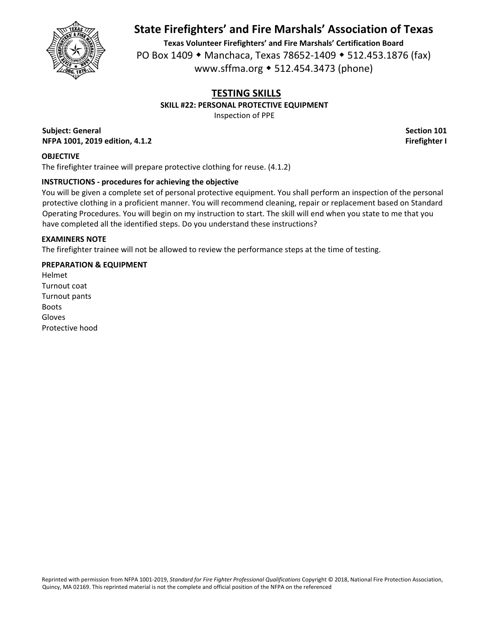![](_page_48_Picture_0.jpeg)

**Texas Volunteer Firefighters' and Fire Marshals' Certification Board** PO Box 1409 • Manchaca, Texas 78652-1409 • 512.453.1876 (fax) www.sffma.org 512.454.3473 (phone)

## **TESTING SKILLS SKILL #22: PERSONAL PROTECTIVE EQUIPMENT**

Inspection of PPE

**Subject: General Section 101 NFPA 1001, 2019 edition, 4.1.2 Firefighter I**

## **OBJECTIVE**

The firefighter trainee will prepare protective clothing for reuse. (4.1.2)

## **INSTRUCTIONS ‐ procedures for achieving the objective**

You will be given a complete set of personal protective equipment. You shall perform an inspection of the personal protective clothing in a proficient manner. You will recommend cleaning, repair or replacement based on Standard Operating Procedures. You will begin on my instruction to start. The skill will end when you state to me that you have completed all the identified steps. Do you understand these instructions?

### **EXAMINERS NOTE**

The firefighter trainee will not be allowed to review the performance steps at the time of testing.

## **PREPARATION & EQUIPMENT**

Helmet Turnout coat Turnout pants Boots Gloves Protective hood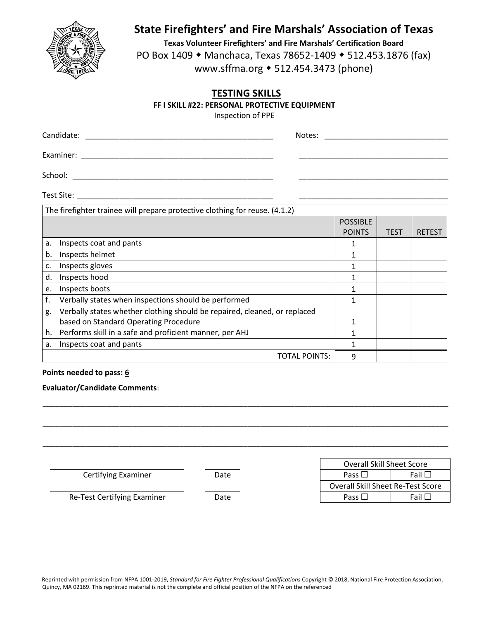![](_page_49_Picture_0.jpeg)

**Texas Volunteer Firefighters' and Fire Marshals' Certification Board** PO Box 1409 • Manchaca, Texas 78652-1409 • 512.453.1876 (fax)

www.sffma.org 512.454.3473 (phone)

## **TESTING SKILLS**

**FF I SKILL #22: PERSONAL PROTECTIVE EQUIPMENT**

Inspection of PPE

| Candidate: | Notes: |
|------------|--------|
| Examiner:  |        |
| School:    |        |
| Test Site: |        |

|    | The firefighter trainee will prepare protective clothing for reuse. (4.1.2) |                 |             |               |  |
|----|-----------------------------------------------------------------------------|-----------------|-------------|---------------|--|
|    |                                                                             | <b>POSSIBLE</b> |             |               |  |
|    |                                                                             | <b>POINTS</b>   | <b>TEST</b> | <b>RETEST</b> |  |
| a. | Inspects coat and pants                                                     |                 |             |               |  |
| b. | Inspects helmet                                                             | 1               |             |               |  |
| c. | Inspects gloves                                                             | 1               |             |               |  |
| d. | Inspects hood                                                               | 1               |             |               |  |
| e. | Inspects boots                                                              | 1               |             |               |  |
|    | Verbally states when inspections should be performed                        | 1               |             |               |  |
| g. | Verbally states whether clothing should be repaired, cleaned, or replaced   |                 |             |               |  |
|    | based on Standard Operating Procedure                                       |                 |             |               |  |
| h. | Performs skill in a safe and proficient manner, per AHJ                     | 1               |             |               |  |
| a. | Inspects coat and pants                                                     | 1               |             |               |  |
|    | <b>TOTAL POINTS:</b>                                                        | 9               |             |               |  |

#### **Points needed to pass: 6**

#### **Evaluator/Candidate Comments**:

|                             |      | Overall Skill Sheet Score                |             |  |
|-----------------------------|------|------------------------------------------|-------------|--|
| Certifying Examiner         | Date | Pass $\square$                           | Fail $\Box$ |  |
|                             |      | <b>Overall Skill Sheet Re-Test Score</b> |             |  |
| Re-Test Certifying Examiner | Date | Pass $\Box$                              | Fail $\Box$ |  |
|                             |      |                                          |             |  |

\_\_\_\_\_\_\_\_\_\_\_\_\_\_\_\_\_\_\_\_\_\_\_\_\_\_\_\_\_\_\_\_\_\_\_\_\_\_\_\_\_\_\_\_\_\_\_\_\_\_\_\_\_\_\_\_\_\_\_\_\_\_\_\_\_\_\_\_\_\_\_\_\_\_\_\_\_\_\_\_\_\_\_\_\_\_\_\_\_\_\_\_\_\_\_

\_\_\_\_\_\_\_\_\_\_\_\_\_\_\_\_\_\_\_\_\_\_\_\_\_\_\_\_\_\_\_\_\_\_\_\_\_\_\_\_\_\_\_\_\_\_\_\_\_\_\_\_\_\_\_\_\_\_\_\_\_\_\_\_\_\_\_\_\_\_\_\_\_\_\_\_\_\_\_\_\_\_\_\_\_\_\_\_\_\_\_\_\_\_\_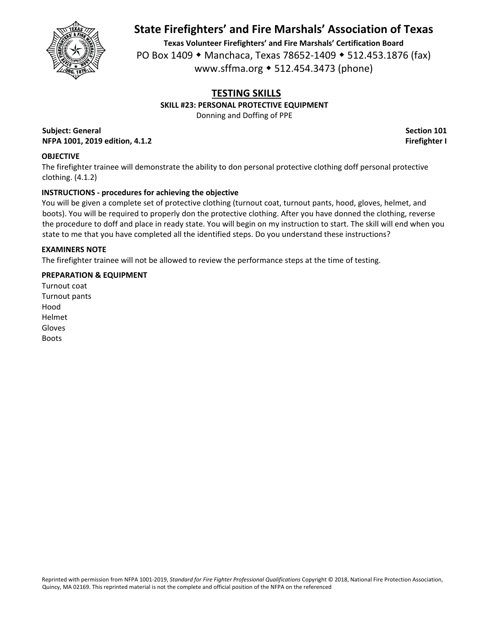![](_page_50_Picture_0.jpeg)

**Texas Volunteer Firefighters' and Fire Marshals' Certification Board** PO Box 1409 • Manchaca, Texas 78652-1409 • 512.453.1876 (fax) www.sffma.org 512.454.3473 (phone)

# **TESTING SKILLS**

**SKILL #23: PERSONAL PROTECTIVE EQUIPMENT**

Donning and Doffing of PPE

**Subject: General Section 101 NFPA 1001, 2019 edition, 4.1.2 Firefighter I**

## **OBJECTIVE**

The firefighter trainee will demonstrate the ability to don personal protective clothing doff personal protective clothing. (4.1.2)

## **INSTRUCTIONS ‐ procedures for achieving the objective**

You will be given a complete set of protective clothing (turnout coat, turnout pants, hood, gloves, helmet, and boots). You will be required to properly don the protective clothing. After you have donned the clothing, reverse the procedure to doff and place in ready state. You will begin on my instruction to start. The skill will end when you state to me that you have completed all the identified steps. Do you understand these instructions?

### **EXAMINERS NOTE**

The firefighter trainee will not be allowed to review the performance steps at the time of testing.

### **PREPARATION & EQUIPMENT**

Turnout coat Turnout pants Hood Helmet Gloves Boots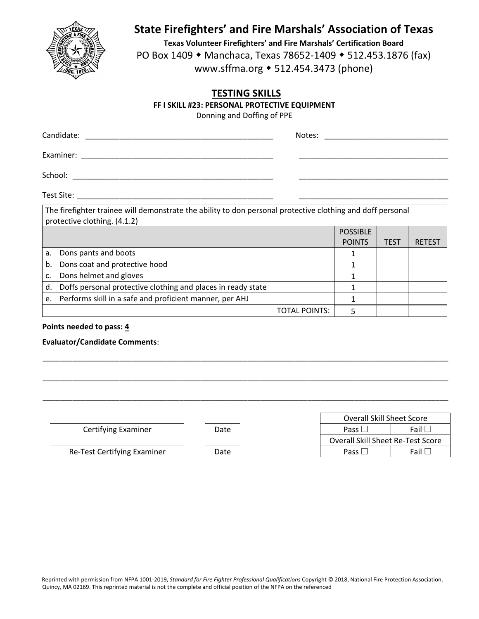![](_page_51_Picture_0.jpeg)

**Texas Volunteer Firefighters' and Fire Marshals' Certification Board** PO Box 1409 • Manchaca, Texas 78652-1409 • 512.453.1876 (fax)

www.sffma.org 512.454.3473 (phone)

## **TESTING SKILLS**

**FF I SKILL #23: PERSONAL PROTECTIVE EQUIPMENT**

Donning and Doffing of PPE

| Candidate:                                                             | Notes: |
|------------------------------------------------------------------------|--------|
| Examiner:                                                              |        |
| School:<br><u> 1980 - Jan Barbara, margaretar al II-lea (h. 1980).</u> |        |
| Test Site:                                                             |        |

|    | The firefighter trainee will demonstrate the ability to don personal protective clothing and doff personal |                 |             |               |  |  |  |
|----|------------------------------------------------------------------------------------------------------------|-----------------|-------------|---------------|--|--|--|
|    | protective clothing. (4.1.2)                                                                               |                 |             |               |  |  |  |
|    |                                                                                                            | <b>POSSIBLE</b> |             |               |  |  |  |
|    |                                                                                                            | <b>POINTS</b>   | <b>TEST</b> | <b>RETEST</b> |  |  |  |
| a. | Dons pants and boots                                                                                       |                 |             |               |  |  |  |
| b. | Dons coat and protective hood                                                                              |                 |             |               |  |  |  |
| c. | Dons helmet and gloves                                                                                     |                 |             |               |  |  |  |
| d. | Doffs personal protective clothing and places in ready state                                               |                 |             |               |  |  |  |
|    | e. Performs skill in a safe and proficient manner, per AHJ                                                 |                 |             |               |  |  |  |
|    | TOTAL POINTS:                                                                                              |                 |             |               |  |  |  |

\_\_\_\_\_\_\_\_\_\_\_\_\_\_\_\_\_\_\_\_\_\_\_\_\_\_\_\_\_\_\_\_\_\_\_\_\_\_\_\_\_\_\_\_\_\_\_\_\_\_\_\_\_\_\_\_\_\_\_\_\_\_\_\_\_\_\_\_\_\_\_\_\_\_\_\_\_\_\_\_\_\_\_\_\_\_\_\_\_\_\_\_\_\_\_

\_\_\_\_\_\_\_\_\_\_\_\_\_\_\_\_\_\_\_\_\_\_\_\_\_\_\_\_\_\_\_\_\_\_\_\_\_\_\_\_\_\_\_\_\_\_\_\_\_\_\_\_\_\_\_\_\_\_\_\_\_\_\_\_\_\_\_\_\_\_\_\_\_\_\_\_\_\_\_\_\_\_\_\_\_\_\_\_\_\_\_\_\_\_\_

\_\_\_\_\_\_\_\_\_\_\_\_\_\_\_\_\_\_\_\_\_\_\_\_\_\_\_\_\_\_\_\_\_\_\_\_\_\_\_\_\_\_\_\_\_\_\_\_\_\_\_\_\_\_\_\_\_\_\_\_\_\_\_\_\_\_\_\_\_\_\_\_\_\_\_\_\_\_\_\_\_\_\_\_\_\_\_\_\_\_\_\_\_\_\_

## **Points needed to pass: 4**

### **Evaluator/Candidate Comments**:

**Certifying Examiner Date** 

|               |      | <b>Overall Skill Sheet Score</b>  |
|---------------|------|-----------------------------------|
| Examiner      | Date | -Fail L<br>Pass $\Box$            |
|               |      | Overall Skill Sheet Re-Test Score |
| ying Examiner | Date | Pass l<br>Fail                    |

Re‐Test Certifying Examiner Date Pass Fail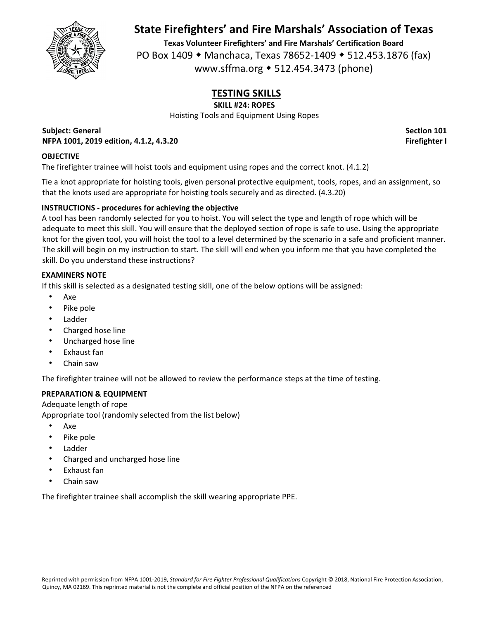![](_page_52_Picture_0.jpeg)

**Texas Volunteer Firefighters' and Fire Marshals' Certification Board** PO Box 1409 • Manchaca, Texas 78652-1409 • 512.453.1876 (fax) www.sffma.org 512.454.3473 (phone)

# **TESTING SKILLS**

**SKILL #24: ROPES**

Hoisting Tools and Equipment Using Ropes

**Subject: General Section 101 NFPA 1001, 2019 edition, 4.1.2, 4.3.20 Firefighter I**

### **OBJECTIVE**

The firefighter trainee will hoist tools and equipment using ropes and the correct knot. (4.1.2)

Tie a knot appropriate for hoisting tools, given personal protective equipment, tools, ropes, and an assignment, so that the knots used are appropriate for hoisting tools securely and as directed. (4.3.20)

## **INSTRUCTIONS ‐ procedures for achieving the objective**

A tool has been randomly selected for you to hoist. You will select the type and length of rope which will be adequate to meet this skill. You will ensure that the deployed section of rope is safe to use. Using the appropriate knot for the given tool, you will hoist the tool to a level determined by the scenario in a safe and proficient manner. The skill will begin on my instruction to start. The skill will end when you inform me that you have completed the skill. Do you understand these instructions?

#### **EXAMINERS NOTE**

If this skill is selected as a designated testing skill, one of the below options will be assigned:

- Axe
- Pike pole
- Ladder
- Charged hose line
- Uncharged hose line
- Exhaust fan
- Chain saw

The firefighter trainee will not be allowed to review the performance steps at the time of testing.

## **PREPARATION & EQUIPMENT**

Adequate length of rope

Appropriate tool (randomly selected from the list below)

- Axe
- Pike pole
- Ladder
- Charged and uncharged hose line
- Exhaust fan
- Chain saw

The firefighter trainee shall accomplish the skill wearing appropriate PPE.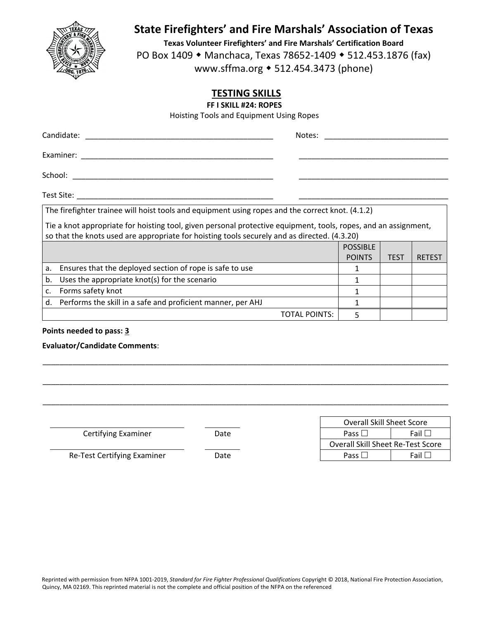![](_page_53_Picture_0.jpeg)

**Texas Volunteer Firefighters' and Fire Marshals' Certification Board** PO Box 1409 • Manchaca, Texas 78652-1409 • 512.453.1876 (fax) www.sffma.org 512.454.3473 (phone)

# **TESTING SKILLS**

**FF I SKILL #24: ROPES**

Hoisting Tools and Equipment Using Ropes

|             | Candidate:<br>Notes:                                                                                                                                                                                                          |                 |             |               |
|-------------|-------------------------------------------------------------------------------------------------------------------------------------------------------------------------------------------------------------------------------|-----------------|-------------|---------------|
|             | Examiner: The contract of the contract of the contract of the contract of the contract of the contract of the contract of the contract of the contract of the contract of the contract of the contract of the contract of the |                 |             |               |
|             |                                                                                                                                                                                                                               |                 |             |               |
|             |                                                                                                                                                                                                                               |                 |             |               |
|             | The firefighter trainee will hoist tools and equipment using ropes and the correct knot. (4.1.2)                                                                                                                              |                 |             |               |
|             | Tie a knot appropriate for hoisting tool, given personal protective equipment, tools, ropes, and an assignment,                                                                                                               |                 |             |               |
|             | so that the knots used are appropriate for hoisting tools securely and as directed. (4.3.20)                                                                                                                                  |                 |             |               |
|             |                                                                                                                                                                                                                               | <b>POSSIBLE</b> |             |               |
|             |                                                                                                                                                                                                                               |                 |             |               |
|             |                                                                                                                                                                                                                               | <b>POINTS</b>   | <b>TEST</b> | <b>RETEST</b> |
| a.          | Ensures that the deployed section of rope is safe to use                                                                                                                                                                      | 1               |             |               |
| b.          | Uses the appropriate knot(s) for the scenario                                                                                                                                                                                 | 1               |             |               |
| $C_{\star}$ | Forms safety knot                                                                                                                                                                                                             |                 |             |               |
|             | d. Performs the skill in a safe and proficient manner, per AHJ                                                                                                                                                                |                 |             |               |

### **Points needed to pass: 3**

**Evaluator/Candidate Comments**:

|                             |      | <b>Overall Skill Sheet Score</b>         |             |
|-----------------------------|------|------------------------------------------|-------------|
| Certifying Examiner         | Date | Pass $\Box$                              | Fail $\Box$ |
|                             |      | <b>Overall Skill Sheet Re-Test Score</b> |             |
| Re-Test Certifying Examiner | Date | Pass $\Box$                              | Fail $\Box$ |

\_\_\_\_\_\_\_\_\_\_\_\_\_\_\_\_\_\_\_\_\_\_\_\_\_\_\_\_\_\_\_\_\_\_\_\_\_\_\_\_\_\_\_\_\_\_\_\_\_\_\_\_\_\_\_\_\_\_\_\_\_\_\_\_\_\_\_\_\_\_\_\_\_\_\_\_\_\_\_\_\_\_\_\_\_\_\_\_\_\_\_\_\_\_\_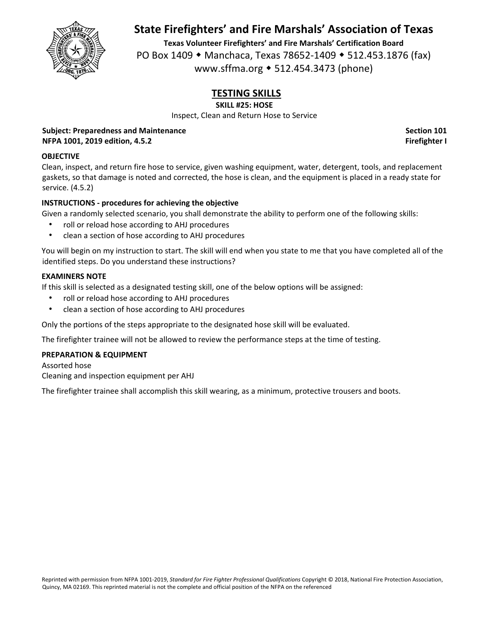![](_page_54_Picture_0.jpeg)

**Texas Volunteer Firefighters' and Fire Marshals' Certification Board** PO Box 1409 • Manchaca, Texas 78652-1409 • 512.453.1876 (fax) www.sffma.org 512.454.3473 (phone)

# **TESTING SKILLS**

**SKILL #25: HOSE**

Inspect, Clean and Return Hose to Service

**Subject: Preparedness and Maintenance Section 101 NFPA 1001, 2019 edition, 4.5.2 Firefighter I**

## **OBJECTIVE**

Clean, inspect, and return fire hose to service, given washing equipment, water, detergent, tools, and replacement gaskets, so that damage is noted and corrected, the hose is clean, and the equipment is placed in a ready state for service. (4.5.2)

## **INSTRUCTIONS ‐ procedures for achieving the objective**

Given a randomly selected scenario, you shall demonstrate the ability to perform one of the following skills:

- roll or reload hose according to AHJ procedures
- clean a section of hose according to AHJ procedures

You will begin on my instruction to start. The skill will end when you state to me that you have completed all of the identified steps. Do you understand these instructions?

## **EXAMINERS NOTE**

If this skill is selected as a designated testing skill, one of the below options will be assigned:

- roll or reload hose according to AHJ procedures
- clean a section of hose according to AHJ procedures

Only the portions of the steps appropriate to the designated hose skill will be evaluated.

The firefighter trainee will not be allowed to review the performance steps at the time of testing.

## **PREPARATION & EQUIPMENT**

Assorted hose Cleaning and inspection equipment per AHJ

The firefighter trainee shall accomplish this skill wearing, as a minimum, protective trousers and boots.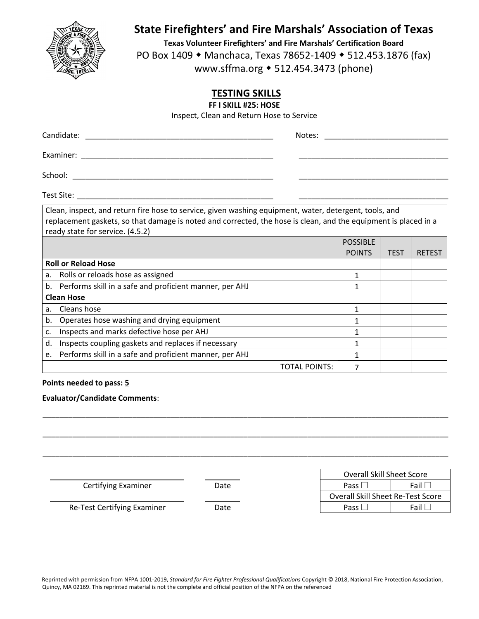![](_page_55_Picture_0.jpeg)

**Texas Volunteer Firefighters' and Fire Marshals' Certification Board** PO Box 1409 • Manchaca, Texas 78652-1409 • 512.453.1876 (fax) www.sffma.org 512.454.3473 (phone)

# **TESTING SKILLS**

**FF I SKILL #25: HOSE**

Inspect, Clean and Return Hose to Service

| Candidate: | Notes:<br><u> 1980 - Jan Stein Harry Harry Harry Harry Harry Harry Harry Harry Harry Harry Harry Harry Harry Harry Harry H</u> |
|------------|--------------------------------------------------------------------------------------------------------------------------------|
| Examiner:  |                                                                                                                                |
| School:    |                                                                                                                                |
| Test Site: |                                                                                                                                |

Clean, inspect, and return fire hose to service, given washing equipment, water, detergent, tools, and replacement gaskets, so that damage is noted and corrected, the hose is clean, and the equipment is placed in a ready state for service. (4.5.2)

|    |                                                         | <b>POSSIBLE</b> |             |               |
|----|---------------------------------------------------------|-----------------|-------------|---------------|
|    |                                                         | <b>POINTS</b>   | <b>TEST</b> | <b>RETEST</b> |
|    | <b>Roll or Reload Hose</b>                              |                 |             |               |
| a. | Rolls or reloads hose as assigned                       |                 |             |               |
| b. | Performs skill in a safe and proficient manner, per AHJ |                 |             |               |
|    | <b>Clean Hose</b>                                       |                 |             |               |
| a. | Cleans hose                                             |                 |             |               |
| b. | Operates hose washing and drying equipment              |                 |             |               |
| c. | Inspects and marks defective hose per AHJ               |                 |             |               |
| d. | Inspects coupling gaskets and replaces if necessary     |                 |             |               |
| e. | Performs skill in a safe and proficient manner, per AHJ |                 |             |               |
|    | TOTAL POINTS:                                           |                 |             |               |

### **Points needed to pass: 5**

#### **Evaluator/Candidate Comments**:

|                             |      | <b>Overall Skill Sheet Score</b>  |             |  |
|-----------------------------|------|-----------------------------------|-------------|--|
| Certifying Examiner         | Date | Pass $\Box$                       | Fail $\Box$ |  |
|                             |      | Overall Skill Sheet Re-Test Score |             |  |
| Re-Test Certifying Examiner | Date | Pass L                            | Fail $\Box$ |  |

\_\_\_\_\_\_\_\_\_\_\_\_\_\_\_\_\_\_\_\_\_\_\_\_\_\_\_\_\_\_\_\_\_\_\_\_\_\_\_\_\_\_\_\_\_\_\_\_\_\_\_\_\_\_\_\_\_\_\_\_\_\_\_\_\_\_\_\_\_\_\_\_\_\_\_\_\_\_\_\_\_\_\_\_\_\_\_\_\_\_\_\_\_\_\_

\_\_\_\_\_\_\_\_\_\_\_\_\_\_\_\_\_\_\_\_\_\_\_\_\_\_\_\_\_\_\_\_\_\_\_\_\_\_\_\_\_\_\_\_\_\_\_\_\_\_\_\_\_\_\_\_\_\_\_\_\_\_\_\_\_\_\_\_\_\_\_\_\_\_\_\_\_\_\_\_\_\_\_\_\_\_\_\_\_\_\_\_\_\_\_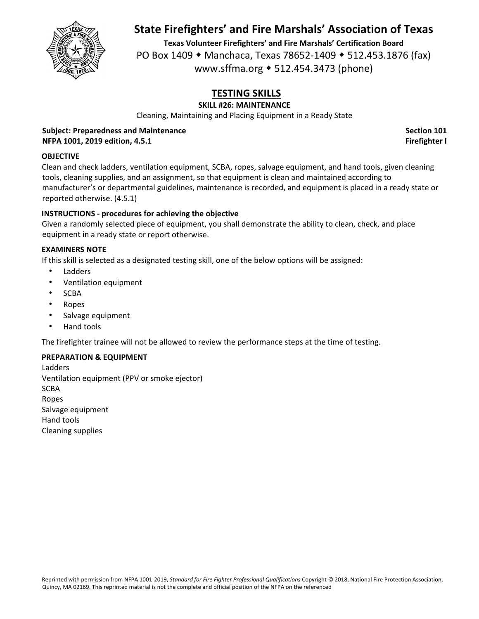![](_page_56_Picture_0.jpeg)

**Texas Volunteer Firefighters' and Fire Marshals' Certification Board** PO Box 1409 • Manchaca, Texas 78652-1409 • 512.453.1876 (fax) www.sffma.org 512.454.3473 (phone)

# **TESTING SKILLS**

## **SKILL #26: MAINTENANCE**

Cleaning, Maintaining and Placing Equipment in a Ready State

### **Subject: Preparedness and Maintenance Section 101 NFPA 1001, 2019 edition, 4.5.1 Firefighter I**

## **OBJECTIVE**

Clean and check ladders, ventilation equipment, SCBA, ropes, salvage equipment, and hand tools, given cleaning tools, cleaning supplies, and an assignment, so that equipment is clean and maintained according to manufacturer's or departmental guidelines, maintenance is recorded, and equipment is placed in a ready state or reported otherwise. (4.5.1)

## **INSTRUCTIONS ‐ procedures for achieving the objective**

Given a randomly selected piece of equipment, you shall demonstrate the ability to clean, check, and place equipment in a ready state or report otherwise.

#### **EXAMINERS NOTE**

If this skill is selected as a designated testing skill, one of the below options will be assigned:

- Ladders
- Ventilation equipment
- SCBA
- Ropes
- Salvage equipment
- Hand tools

The firefighter trainee will not be allowed to review the performance steps at the time of testing.

#### **PREPARATION & EQUIPMENT**

Ladders Ventilation equipment (PPV or smoke ejector) **SCBA** Ropes Salvage equipment Hand tools Cleaning supplies